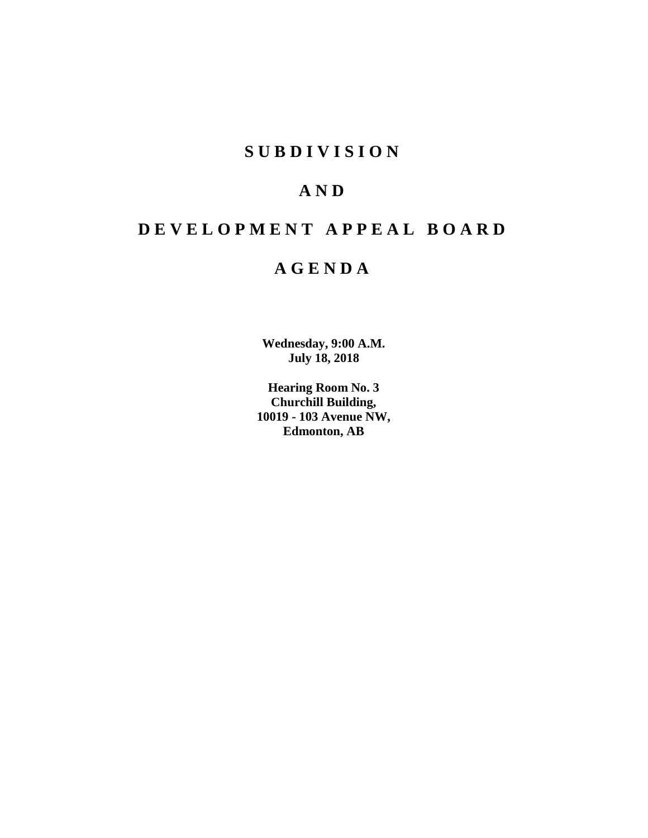# **SUBDIVISION**

# **AND**

# **DEVELOPMENT APPEAL BOARD**

# **AGENDA**

**Wednesday, 9:00 A.M. July 18, 2018**

**Hearing Room No. 3 Churchill Building, 10019 - 103 Avenue NW, Edmonton, AB**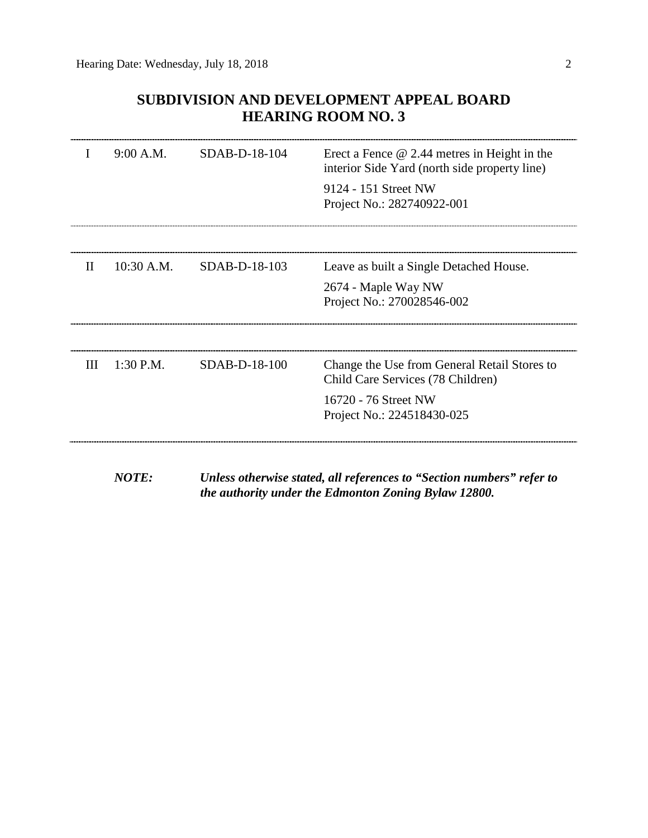# **SUBDIVISION AND DEVELOPMENT APPEAL BOARD HEARING ROOM NO. 3**

|              | 9:00 A.M.   | SDAB-D-18-104 | Erect a Fence $@$ 2.44 metres in Height in the<br>interior Side Yard (north side property line)<br>9124 - 151 Street NW<br>Project No.: 282740922-001 |
|--------------|-------------|---------------|-------------------------------------------------------------------------------------------------------------------------------------------------------|
| $\mathbf{H}$ | 10:30 A.M.  | SDAB-D-18-103 | Leave as built a Single Detached House.<br>2674 - Maple Way NW<br>Project No.: 270028546-002                                                          |
| Ш            | $1:30$ P.M. | SDAB-D-18-100 | Change the Use from General Retail Stores to<br>Child Care Services (78 Children)<br>16720 - 76 Street NW<br>Project No.: 224518430-025               |

*NOTE: Unless otherwise stated, all references to "Section numbers" refer to the authority under the Edmonton Zoning Bylaw 12800.*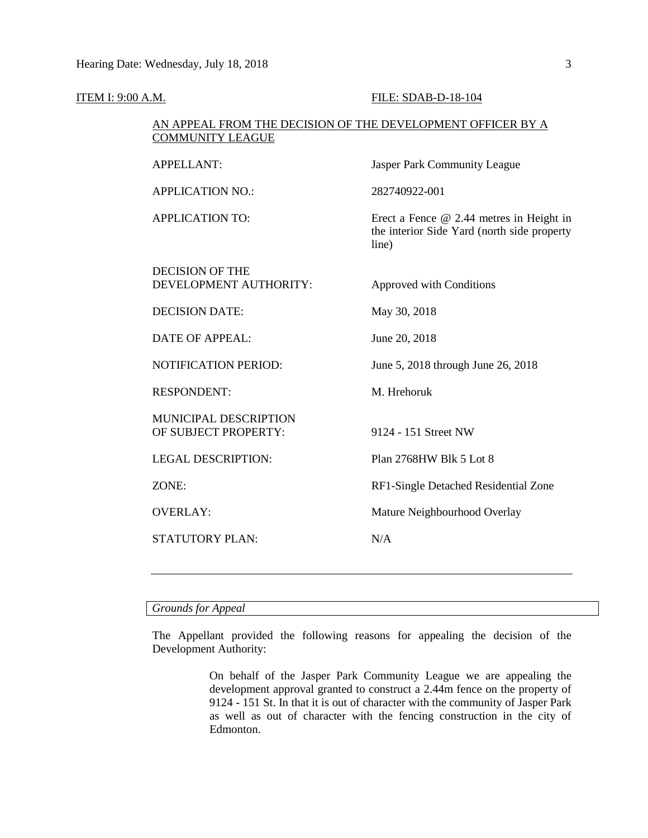| <b>ITEM I: 9:00 A.M.</b> |                                                                                        | FILE: SDAB-D-18-104                                                                                |  |  |
|--------------------------|----------------------------------------------------------------------------------------|----------------------------------------------------------------------------------------------------|--|--|
|                          | AN APPEAL FROM THE DECISION OF THE DEVELOPMENT OFFICER BY A<br><b>COMMUNITY LEAGUE</b> |                                                                                                    |  |  |
|                          | <b>APPELLANT:</b>                                                                      | <b>Jasper Park Community League</b>                                                                |  |  |
|                          | <b>APPLICATION NO.:</b>                                                                | 282740922-001                                                                                      |  |  |
|                          | <b>APPLICATION TO:</b>                                                                 | Erect a Fence $@$ 2.44 metres in Height in<br>the interior Side Yard (north side property<br>line) |  |  |
|                          | <b>DECISION OF THE</b><br>DEVELOPMENT AUTHORITY:                                       | Approved with Conditions                                                                           |  |  |
|                          | <b>DECISION DATE:</b>                                                                  | May 30, 2018                                                                                       |  |  |
|                          | <b>DATE OF APPEAL:</b>                                                                 | June 20, 2018                                                                                      |  |  |
|                          | <b>NOTIFICATION PERIOD:</b>                                                            | June 5, 2018 through June 26, 2018                                                                 |  |  |
|                          | <b>RESPONDENT:</b>                                                                     | M. Hrehoruk                                                                                        |  |  |
|                          | MUNICIPAL DESCRIPTION<br>OF SUBJECT PROPERTY:                                          | 9124 - 151 Street NW                                                                               |  |  |
|                          | <b>LEGAL DESCRIPTION:</b>                                                              | Plan 2768HW Blk 5 Lot 8                                                                            |  |  |
|                          | ZONE:                                                                                  | RF1-Single Detached Residential Zone                                                               |  |  |
|                          | <b>OVERLAY:</b>                                                                        | Mature Neighbourhood Overlay                                                                       |  |  |
|                          | STATUTORY PLAN:                                                                        | N/A                                                                                                |  |  |
|                          |                                                                                        |                                                                                                    |  |  |

# *Grounds for Appeal*

The Appellant provided the following reasons for appealing the decision of the Development Authority:

> On behalf of the Jasper Park Community League we are appealing the development approval granted to construct a 2.44m fence on the property of 9124 - 151 St. In that it is out of character with the community of Jasper Park as well as out of character with the fencing construction in the city of Edmonton.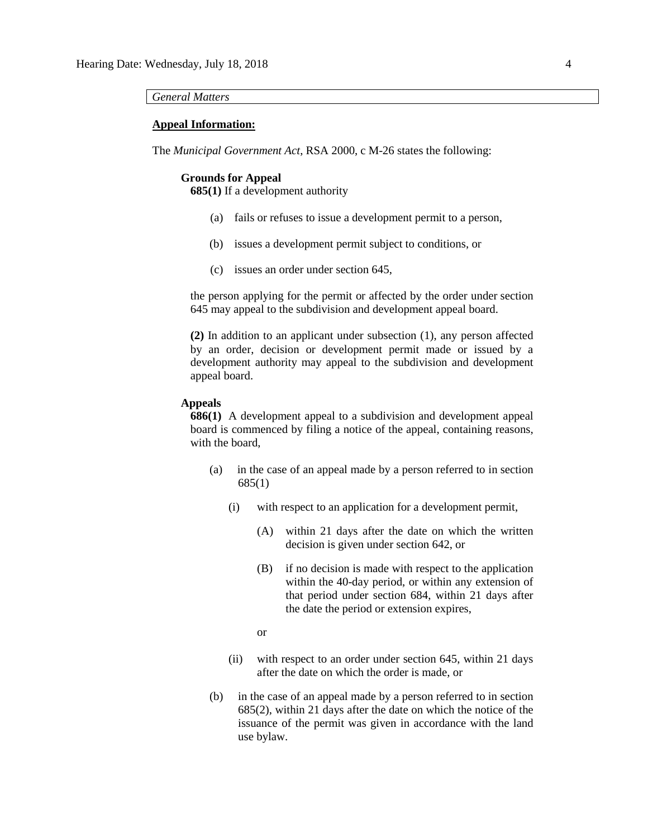#### *General Matters*

#### **Appeal Information:**

The *Municipal Government Act*, RSA 2000, c M-26 states the following:

#### **Grounds for Appeal**

**685(1)** If a development authority

- (a) fails or refuses to issue a development permit to a person,
- (b) issues a development permit subject to conditions, or
- (c) issues an order under section 645,

the person applying for the permit or affected by the order under section 645 may appeal to the subdivision and development appeal board.

**(2)** In addition to an applicant under subsection (1), any person affected by an order, decision or development permit made or issued by a development authority may appeal to the subdivision and development appeal board.

### **Appeals**

**686(1)** A development appeal to a subdivision and development appeal board is commenced by filing a notice of the appeal, containing reasons, with the board,

- (a) in the case of an appeal made by a person referred to in section 685(1)
	- (i) with respect to an application for a development permit,
		- (A) within 21 days after the date on which the written decision is given under section 642, or
		- (B) if no decision is made with respect to the application within the 40-day period, or within any extension of that period under section 684, within 21 days after the date the period or extension expires,
		- or
	- (ii) with respect to an order under section 645, within 21 days after the date on which the order is made, or
- (b) in the case of an appeal made by a person referred to in section 685(2), within 21 days after the date on which the notice of the issuance of the permit was given in accordance with the land use bylaw.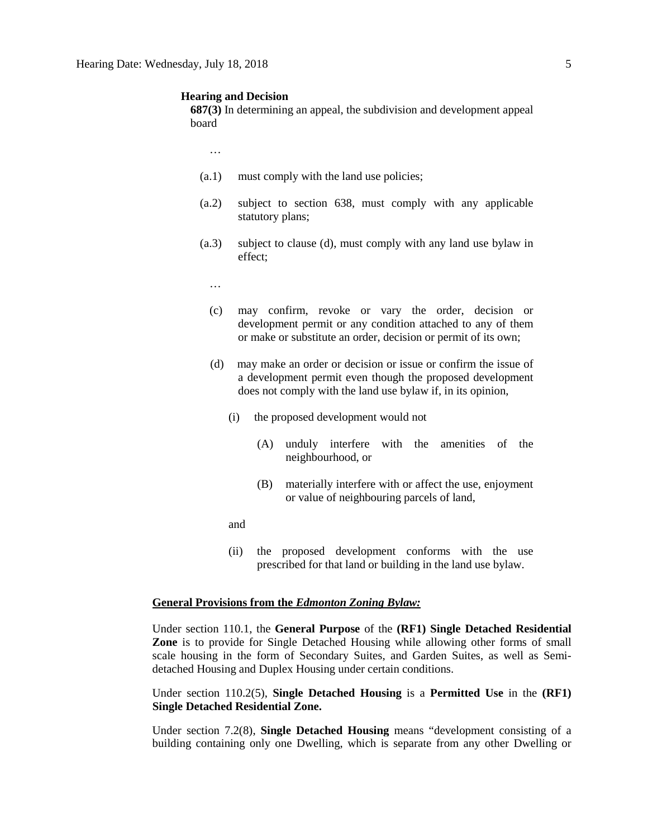#### **Hearing and Decision**

**687(3)** In determining an appeal, the subdivision and development appeal board

…

- (a.1) must comply with the land use policies;
- (a.2) subject to section 638, must comply with any applicable statutory plans;
- (a.3) subject to clause (d), must comply with any land use bylaw in effect;
	- …
	- (c) may confirm, revoke or vary the order, decision or development permit or any condition attached to any of them or make or substitute an order, decision or permit of its own;
	- (d) may make an order or decision or issue or confirm the issue of a development permit even though the proposed development does not comply with the land use bylaw if, in its opinion,
		- (i) the proposed development would not
			- (A) unduly interfere with the amenities of the neighbourhood, or
			- (B) materially interfere with or affect the use, enjoyment or value of neighbouring parcels of land,
		- and
		- (ii) the proposed development conforms with the use prescribed for that land or building in the land use bylaw.

#### **General Provisions from the** *Edmonton Zoning Bylaw:*

Under section 110.1, the **General Purpose** of the **(RF1) Single Detached Residential Zone** is to provide for Single Detached Housing while allowing other forms of small scale housing in the form of Secondary Suites, and Garden Suites, as well as Semidetached Housing and Duplex Housing under certain conditions.

Under section 110.2(5), **Single Detached Housing** is a **Permitted Use** in the **(RF1) Single Detached Residential Zone.**

Under section 7.2(8), **Single Detached Housing** means "development consisting of a building containing only one Dwelling, which is separate from any other Dwelling or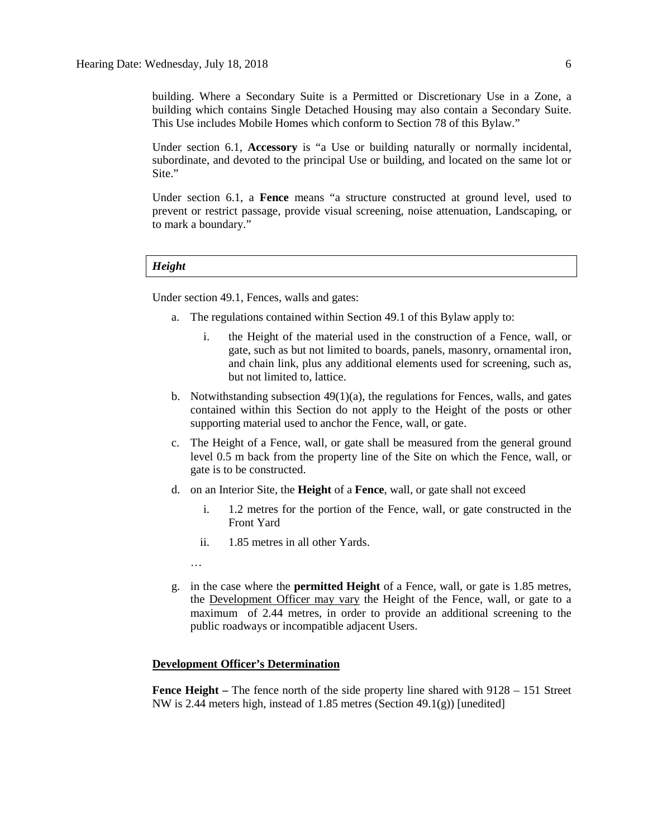building. Where a Secondary Suite is a Permitted or Discretionary Use in a Zone, a building which contains Single Detached Housing may also contain a Secondary Suite. This Use includes Mobile Homes which conform to Section 78 of this Bylaw."

Under section 6.1, **Accessory** is "a Use or building naturally or normally incidental, subordinate, and devoted to the principal Use or building, and located on the same lot or Site."

Under section 6.1, a **Fence** means "a structure constructed at ground level, used to prevent or restrict passage, provide visual screening, noise attenuation, Landscaping, or to mark a boundary."

#### *Height*

Under section 49.1, Fences, walls and gates:

- a. The regulations contained within Section 49.1 of this Bylaw apply to:
	- i. the Height of the material used in the construction of a Fence, wall, or gate, such as but not limited to boards, panels, masonry, ornamental iron, and chain link, plus any additional elements used for screening, such as, but not limited to, lattice.
- b. Notwithstanding subsection  $49(1)(a)$ , the regulations for Fences, walls, and gates contained within this Section do not apply to the Height of the posts or other supporting material used to anchor the Fence, wall, or gate.
- c. The Height of a Fence, wall, or gate shall be measured from the general ground level 0.5 m back from the property line of the Site on which the Fence, wall, or gate is to be constructed.
- d. on an Interior Site, the **Height** of a **Fence**, wall, or gate shall not exceed
	- i. 1.2 metres for the portion of the Fence, wall, or gate constructed in the Front Yard
	- ii. 1.85 metres in all other Yards.
	- …
- g. in the case where the **permitted Height** of a Fence, wall, or gate is 1.85 metres, the Development Officer may vary the Height of the Fence, wall, or gate to a maximum of 2.44 metres, in order to provide an additional screening to the public roadways or incompatible adjacent Users.

### **Development Officer's Determination**

**Fence Height –** The fence north of the side property line shared with 9128 – 151 Street NW is 2.44 meters high, instead of 1.85 metres (Section 49.1(g)) [unedited]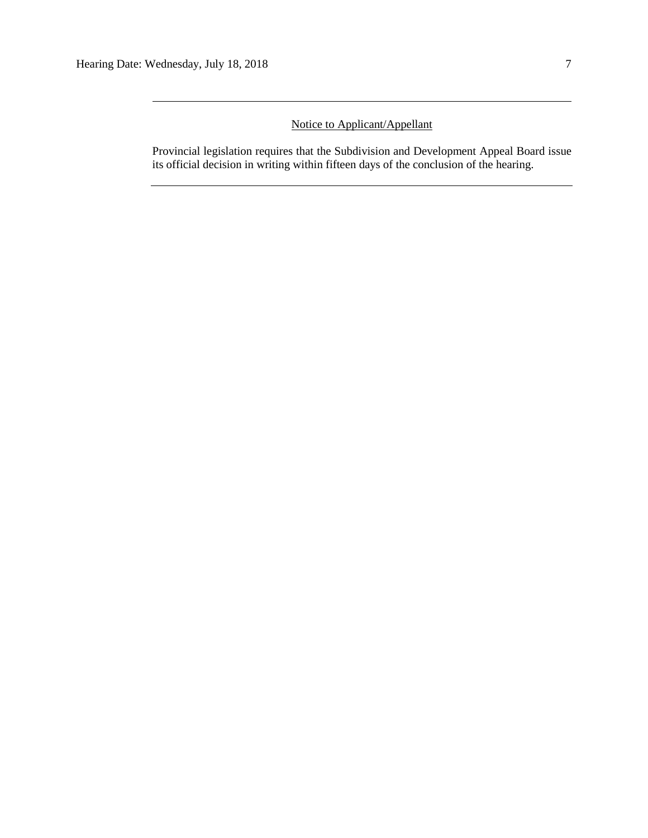# Notice to Applicant/Appellant

Provincial legislation requires that the Subdivision and Development Appeal Board issue its official decision in writing within fifteen days of the conclusion of the hearing.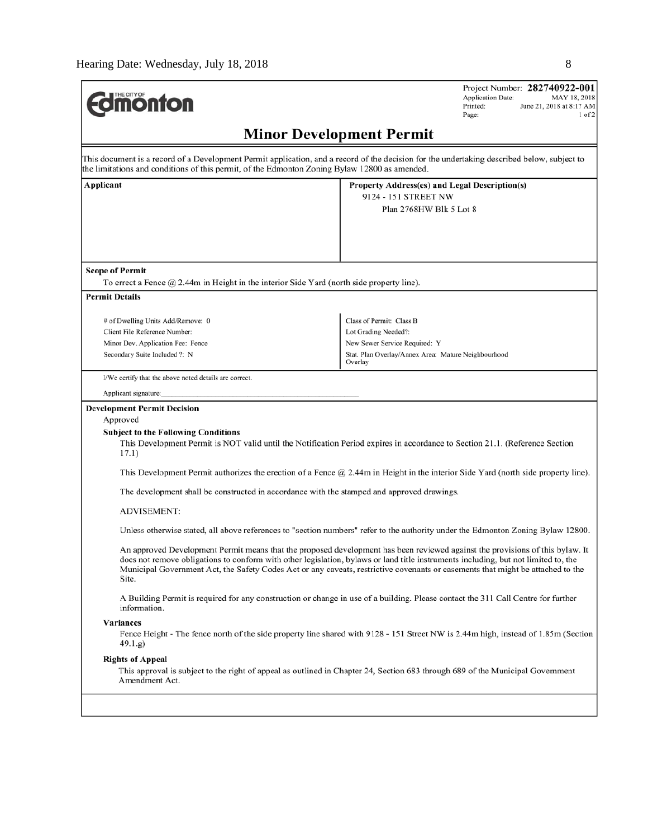| <b>Imonton</b>                                                                                                                                                                                                                               | Project Number: 282740922-001<br><b>Application Date:</b><br>MAY 18, 2018<br>Printed:<br>June 21, 2018 at 8:17 AM<br>Page:<br>$1$ of $2$                                                                                                                                                                                                                                                                                                                                                                                                                                                                                                                                                                                                                                                                          |
|----------------------------------------------------------------------------------------------------------------------------------------------------------------------------------------------------------------------------------------------|-------------------------------------------------------------------------------------------------------------------------------------------------------------------------------------------------------------------------------------------------------------------------------------------------------------------------------------------------------------------------------------------------------------------------------------------------------------------------------------------------------------------------------------------------------------------------------------------------------------------------------------------------------------------------------------------------------------------------------------------------------------------------------------------------------------------|
|                                                                                                                                                                                                                                              | <b>Minor Development Permit</b>                                                                                                                                                                                                                                                                                                                                                                                                                                                                                                                                                                                                                                                                                                                                                                                   |
| This document is a record of a Development Permit application, and a record of the decision for the undertaking described below, subject to<br>the limitations and conditions of this permit, of the Edmonton Zoning Bylaw 12800 as amended. |                                                                                                                                                                                                                                                                                                                                                                                                                                                                                                                                                                                                                                                                                                                                                                                                                   |
| Applicant                                                                                                                                                                                                                                    | <b>Property Address(es) and Legal Description(s)</b><br>9124 - 151 STREET NW<br>Plan 2768HW Blk 5 Lot 8                                                                                                                                                                                                                                                                                                                                                                                                                                                                                                                                                                                                                                                                                                           |
| <b>Scope of Permit</b>                                                                                                                                                                                                                       |                                                                                                                                                                                                                                                                                                                                                                                                                                                                                                                                                                                                                                                                                                                                                                                                                   |
| To errect a Fence @ 2.44m in Height in the interior Side Yard (north side property line).                                                                                                                                                    |                                                                                                                                                                                                                                                                                                                                                                                                                                                                                                                                                                                                                                                                                                                                                                                                                   |
| <b>Permit Details</b>                                                                                                                                                                                                                        |                                                                                                                                                                                                                                                                                                                                                                                                                                                                                                                                                                                                                                                                                                                                                                                                                   |
| # of Dwelling Units Add/Remove: 0<br>Client File Reference Number:<br>Minor Dev. Application Fee: Fence<br>Secondary Suite Included ?: N                                                                                                     | Class of Permit: Class B<br>Lot Grading Needed?:<br>New Sewer Service Required: Y<br>Stat. Plan Overlay/Annex Area: Mature Neighbourhood<br>Overlay                                                                                                                                                                                                                                                                                                                                                                                                                                                                                                                                                                                                                                                               |
| I/We certify that the above noted details are correct.                                                                                                                                                                                       |                                                                                                                                                                                                                                                                                                                                                                                                                                                                                                                                                                                                                                                                                                                                                                                                                   |
| Applicant signature:                                                                                                                                                                                                                         |                                                                                                                                                                                                                                                                                                                                                                                                                                                                                                                                                                                                                                                                                                                                                                                                                   |
| <b>Development Permit Decision</b><br>Approved<br><b>Subject to the Following Conditions</b><br>17.1)<br>The development shall be constructed in accordance with the stamped and approved drawings.<br><b>ADVISEMENT:</b><br>Site.           | This Development Permit is NOT valid until the Notification Period expires in accordance to Section 21.1. (Reference Section<br>This Development Permit authorizes the erection of a Fence $@2.44m$ in Height in the interior Side Yard (north side property line).<br>Unless otherwise stated, all above references to "section numbers" refer to the authority under the Edmonton Zoning Bylaw 12800.<br>An approved Development Permit means that the proposed development has been reviewed against the provisions of this bylaw. It<br>does not remove obligations to conform with other legislation, bylaws or land title instruments including, but not limited to, the<br>Municipal Government Act, the Safety Codes Act or any caveats, restrictive covenants or easements that might be attached to the |
| information.<br>Variances<br>49.1.g)<br><b>Rights of Appeal</b>                                                                                                                                                                              | A Building Permit is required for any construction or change in use of a building. Please contact the 311 Call Centre for further<br>Fence Height - The fence north of the side property line shared with 9128 - 151 Street NW is 2.44m high, instead of 1.85m (Section                                                                                                                                                                                                                                                                                                                                                                                                                                                                                                                                           |
| Amendment Act.                                                                                                                                                                                                                               | This approval is subject to the right of appeal as outlined in Chapter 24, Section 683 through 689 of the Municipal Government                                                                                                                                                                                                                                                                                                                                                                                                                                                                                                                                                                                                                                                                                    |
|                                                                                                                                                                                                                                              |                                                                                                                                                                                                                                                                                                                                                                                                                                                                                                                                                                                                                                                                                                                                                                                                                   |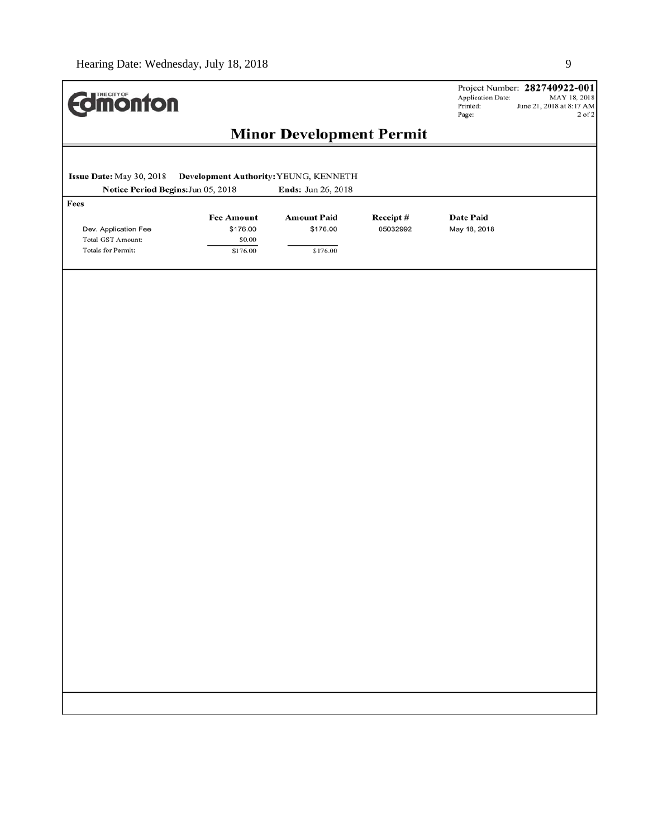| <b>dimonton</b>                                                         |                                                     |                                            |                      | Project Number: 282740922-001<br>Application Date:<br>MAY 18, 2018<br>Printed:<br>June 21, 2018 at 8:17 AM<br>$2$ of $2\,$<br>Page: |
|-------------------------------------------------------------------------|-----------------------------------------------------|--------------------------------------------|----------------------|-------------------------------------------------------------------------------------------------------------------------------------|
|                                                                         |                                                     | <b>Minor Development Permit</b>            |                      |                                                                                                                                     |
| Issue Date: May 30, 2018<br>Notice Period Begins: Jun 05, 2018          | Development Authority: YEUNG, KENNETH               | Ends: Jun 26, 2018                         |                      |                                                                                                                                     |
| Fees<br>Dev. Application Fee<br>Total GST Amount:<br>Totals for Permit: | <b>Fee Amount</b><br>\$176.00<br>\$0.00<br>\$176.00 | <b>Amount Paid</b><br>\$176.00<br>\$176.00 | Receipt#<br>05032992 | <b>Date Paid</b><br>May 18, 2018                                                                                                    |
|                                                                         |                                                     |                                            |                      |                                                                                                                                     |
|                                                                         |                                                     |                                            |                      |                                                                                                                                     |
|                                                                         |                                                     |                                            |                      |                                                                                                                                     |
|                                                                         |                                                     |                                            |                      |                                                                                                                                     |
|                                                                         |                                                     |                                            |                      |                                                                                                                                     |
|                                                                         |                                                     |                                            |                      |                                                                                                                                     |
|                                                                         |                                                     |                                            |                      |                                                                                                                                     |
|                                                                         |                                                     |                                            |                      |                                                                                                                                     |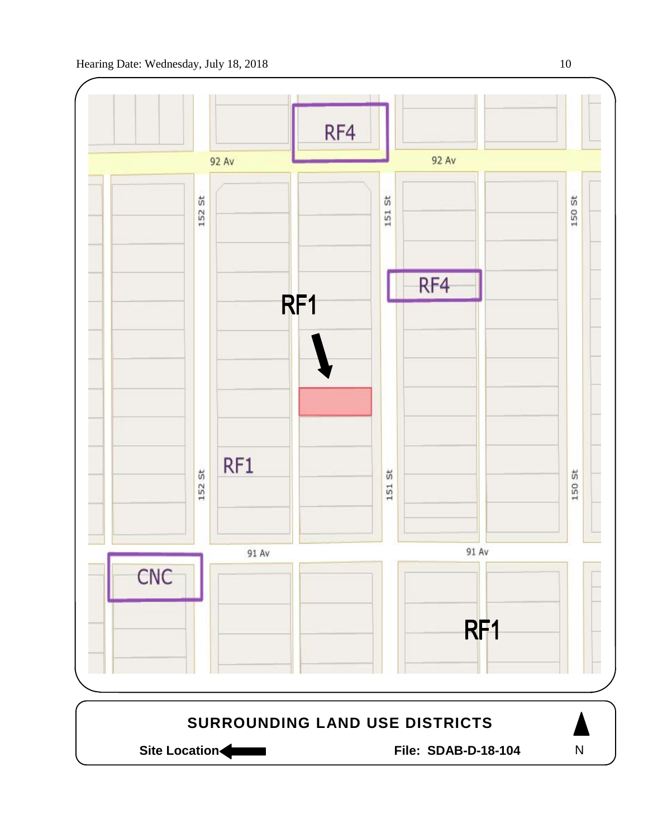

Site Location **Community Contracts** File: SDAB-D-18-104

N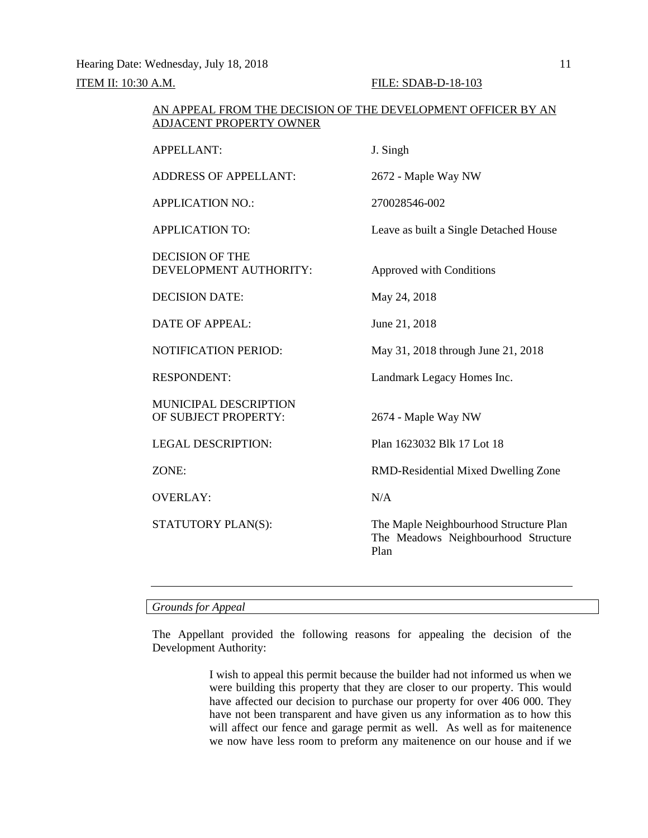Hearing Date: Wednesday, July 18, 2018 11

**ITEM II:** 10:30 A.M. **FILE:** SDAB-D-18-103

| AN APPEAL FROM THE DECISION OF THE DEVELOPMENT OFFICER BY AN<br>ADJACENT PROPERTY OWNER |                                                                                       |  |  |  |
|-----------------------------------------------------------------------------------------|---------------------------------------------------------------------------------------|--|--|--|
| <b>APPELLANT:</b>                                                                       | J. Singh                                                                              |  |  |  |
| <b>ADDRESS OF APPELLANT:</b>                                                            | 2672 - Maple Way NW                                                                   |  |  |  |
| <b>APPLICATION NO.:</b>                                                                 | 270028546-002                                                                         |  |  |  |
| <b>APPLICATION TO:</b>                                                                  | Leave as built a Single Detached House                                                |  |  |  |
| <b>DECISION OF THE</b><br>DEVELOPMENT AUTHORITY:                                        | Approved with Conditions                                                              |  |  |  |
| <b>DECISION DATE:</b>                                                                   | May 24, 2018                                                                          |  |  |  |
| <b>DATE OF APPEAL:</b>                                                                  | June 21, 2018                                                                         |  |  |  |
| NOTIFICATION PERIOD:                                                                    | May 31, 2018 through June 21, 2018                                                    |  |  |  |
| <b>RESPONDENT:</b>                                                                      | Landmark Legacy Homes Inc.                                                            |  |  |  |
| <b>MUNICIPAL DESCRIPTION</b><br>OF SUBJECT PROPERTY:                                    | 2674 - Maple Way NW                                                                   |  |  |  |
| <b>LEGAL DESCRIPTION:</b>                                                               | Plan 1623032 Blk 17 Lot 18                                                            |  |  |  |
| ZONE:                                                                                   | RMD-Residential Mixed Dwelling Zone                                                   |  |  |  |
| <b>OVERLAY:</b>                                                                         | N/A                                                                                   |  |  |  |
| STATUTORY PLAN(S):                                                                      | The Maple Neighbourhood Structure Plan<br>The Meadows Neighbourhood Structure<br>Plan |  |  |  |

### *Grounds for Appeal*

The Appellant provided the following reasons for appealing the decision of the Development Authority:

> I wish to appeal this permit because the builder had not informed us when we were building this property that they are closer to our property. This would have affected our decision to purchase our property for over 406 000. They have not been transparent and have given us any information as to how this will affect our fence and garage permit as well. As well as for maitenence we now have less room to preform any maitenence on our house and if we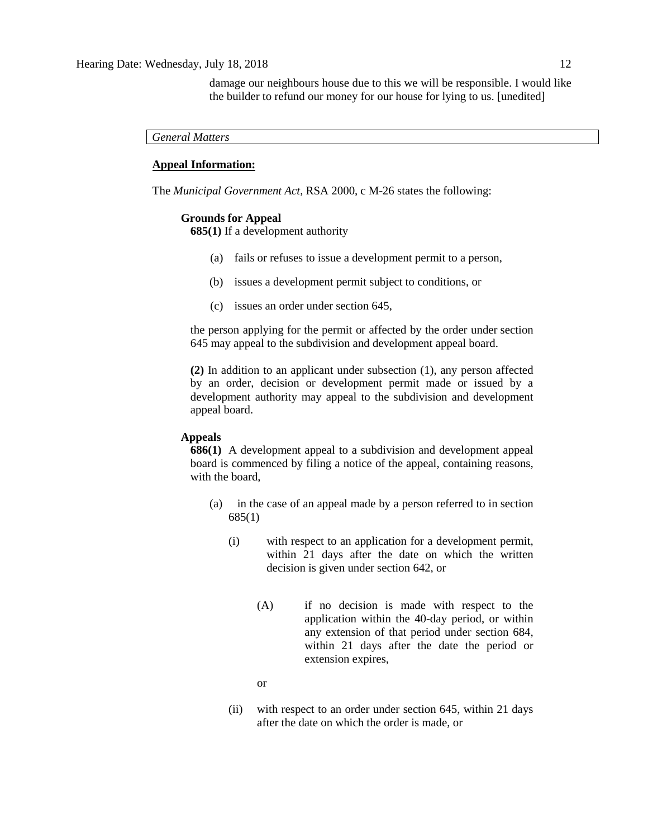damage our neighbours house due to this we will be responsible. I would like the builder to refund our money for our house for lying to us. [unedited]

*General Matters*

### **Appeal Information:**

The *Municipal Government Act*, RSA 2000, c M-26 states the following:

#### **Grounds for Appeal**

**685(1)** If a development authority

- (a) fails or refuses to issue a development permit to a person,
- (b) issues a development permit subject to conditions, or
- (c) issues an order under section 645,

the person applying for the permit or affected by the order under section 645 may appeal to the subdivision and development appeal board.

**(2)** In addition to an applicant under subsection (1), any person affected by an order, decision or development permit made or issued by a development authority may appeal to the subdivision and development appeal board.

#### **Appeals**

**686(1)** A development appeal to a subdivision and development appeal board is commenced by filing a notice of the appeal, containing reasons, with the board,

- (a) in the case of an appeal made by a person referred to in section 685(1)
	- (i) with respect to an application for a development permit, within 21 days after the date on which the written decision is given under section 642, or
		- (A) if no decision is made with respect to the application within the 40-day period, or within any extension of that period under section 684, within 21 days after the date the period or extension expires,

or

(ii) with respect to an order under section 645, within 21 days after the date on which the order is made, or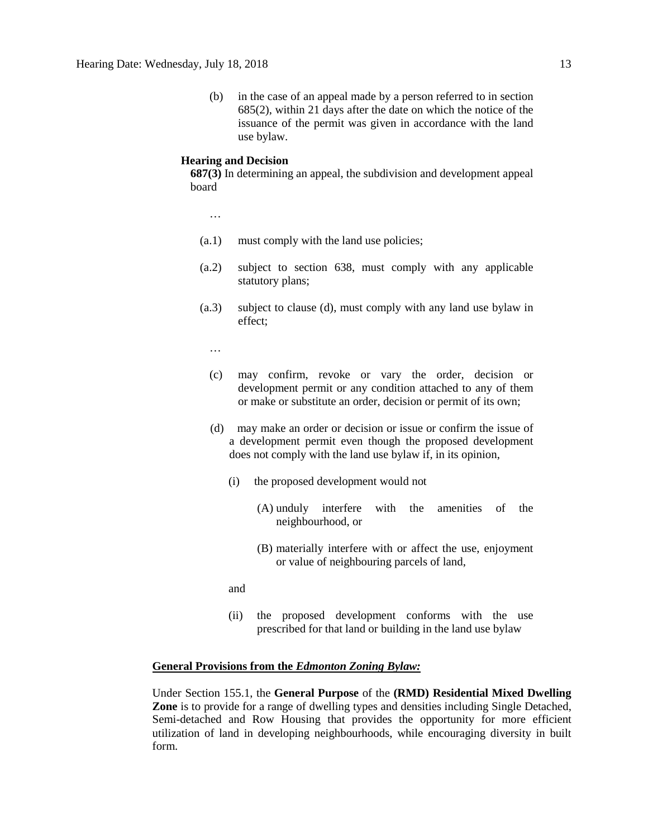(b) in the case of an appeal made by a person referred to in section 685(2), within 21 days after the date on which the notice of the issuance of the permit was given in accordance with the land use bylaw.

#### **Hearing and Decision**

**687(3)** In determining an appeal, the subdivision and development appeal board

…

- (a.1) must comply with the land use policies;
- (a.2) subject to section 638, must comply with any applicable statutory plans;
- (a.3) subject to clause (d), must comply with any land use bylaw in effect;

…

- (c) may confirm, revoke or vary the order, decision or development permit or any condition attached to any of them or make or substitute an order, decision or permit of its own;
- (d) may make an order or decision or issue or confirm the issue of a development permit even though the proposed development does not comply with the land use bylaw if, in its opinion,
	- (i) the proposed development would not
		- (A) unduly interfere with the amenities of the neighbourhood, or
		- (B) materially interfere with or affect the use, enjoyment or value of neighbouring parcels of land,
	- and
	- (ii) the proposed development conforms with the use prescribed for that land or building in the land use bylaw

#### **General Provisions from the** *Edmonton Zoning Bylaw:*

Under Section 155.1, the **General Purpose** of the **(RMD) Residential Mixed Dwelling Zone** is to provide for a range of dwelling types and densities including Single Detached, Semi-detached and Row Housing that provides the opportunity for more efficient utilization of land in developing neighbourhoods, while encouraging diversity in built form.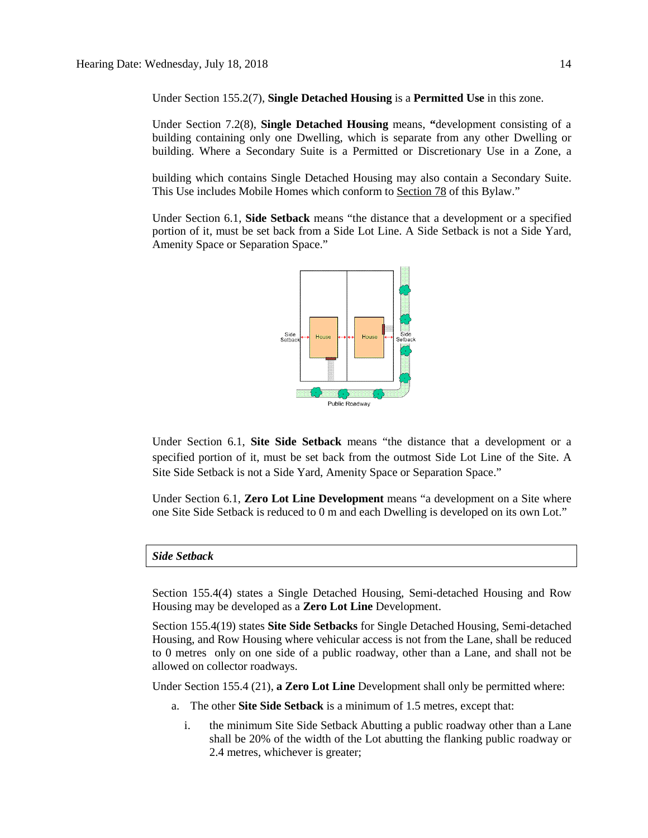Under Section 155.2(7), **Single Detached Housing** is a **Permitted Use** in this zone.

Under Section 7.2(8), **Single Detached Housing** means, **"**development consisting of a building containing only one Dwelling, which is separate from any other Dwelling or building. Where a Secondary Suite is a Permitted or Discretionary Use in a Zone, a

building which contains Single Detached Housing may also contain a Secondary Suite. This Use includes Mobile Homes which conform to [Section 78](https://webdocs.edmonton.ca/InfraPlan/zoningbylaw/ZoningBylaw/Part1/Special_Land/78__Mobile_Homes.htm) of this Bylaw."

Under Section 6.1, **Side Setback** means "the distance that a development or a specified portion of it, must be set back from a Side Lot Line. A Side Setback is not a Side Yard, Amenity Space or Separation Space."



Under Section 6.1, **Site Side Setback** means "the distance that a development or a specified portion of it, must be set back from the outmost Side Lot Line of the Site. A Site Side Setback is not a Side Yard, Amenity Space or Separation Space."

Under Section 6.1, **Zero Lot Line Development** means "a development on a Site where one Site Side Setback is reduced to 0 m and each Dwelling is developed on its own Lot."

#### *Side Setback*

Section 155.4(4) states a Single Detached Housing, Semi-detached Housing and Row Housing may be developed as a **Zero Lot Line** Development.

Section 155.4(19) states **Site Side Setbacks** for Single Detached Housing, Semi-detached Housing, and Row Housing where vehicular access is not from the Lane, shall be reduced to 0 metres only on one side of a public roadway, other than a Lane, and shall not be allowed on collector roadways.

Under Section 155.4 (21), **a Zero Lot Line** Development shall only be permitted where:

- a. The other **Site Side Setback** is a minimum of [1.5 me](javascript:void(0);)tres, except that:
	- i. the minimum Site Side Setback Abutting a public roadway other than a Lane shall be 20% of the width of the Lot abutting the flanking public roadway or 2.4 metres, whichever is greater;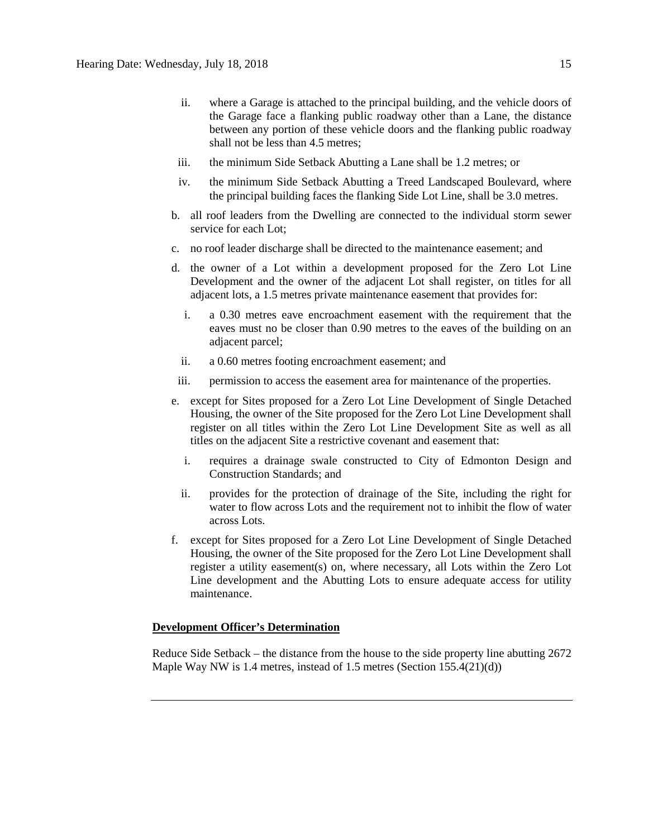- ii. where a Garage is attached to the principal building, and the vehicle doors of the Garage face a flanking public roadway other than a Lane, the distance between any portion of these vehicle doors and the flanking public roadway shall not be less than [4.5 me](javascript:void(0);)tres;
- iii. the minimum Side Setback Abutting a Lane shall be [1.2 me](javascript:void(0);)tres; or
- iv. the minimum Side Setback Abutting a Treed Landscaped Boulevard, where the principal building faces the flanking Side Lot Line, shall be [3.0 me](javascript:void(0);)tres.
- b. all roof leaders from the Dwelling are connected to the individual storm sewer service for each Lot;
- c. no roof leader discharge shall be directed to the maintenance easement; and
- d. the owner of a Lot within a development proposed for the Zero Lot Line Development and the owner of the adjacent Lot shall register, on titles for all adjacent lots, a 1.5 metres private maintenance easement that provides for:
	- i. a [0.30 me](javascript:void(0);)tres eave encroachment easement with the requirement that the eaves must no be closer than [0.90 me](javascript:void(0);)tres to the eaves of the building on an adjacent parcel;
	- ii. a [0.60 me](javascript:void(0);)tres footing encroachment easement; and
- iii. permission to access the easement area for maintenance of the properties.
- e. except for Sites proposed for a Zero Lot Line Development of Single Detached Housing, the owner of the Site proposed for the Zero Lot Line Development shall register on all titles within the Zero Lot Line Development Site as well as all titles on the adjacent Site a restrictive covenant and easement that:
	- i. requires a drainage swale constructed to City of Edmonton Design and Construction Standards; and
	- ii. provides for the protection of drainage of the Site, including the right for water to flow across Lots and the requirement not to inhibit the flow of water across Lots.
- f. except for Sites proposed for a Zero Lot Line Development of Single Detached Housing, the owner of the Site proposed for the Zero Lot Line Development shall register a utility easement(s) on, where necessary, all Lots within the Zero Lot Line development and the Abutting Lots to ensure adequate access for utility maintenance.

### **Development Officer's Determination**

Reduce Side Setback – the distance from the house to the side property line abutting 2672 Maple Way NW is 1.4 metres, instead of 1.5 metres (Section 155.4(21)(d))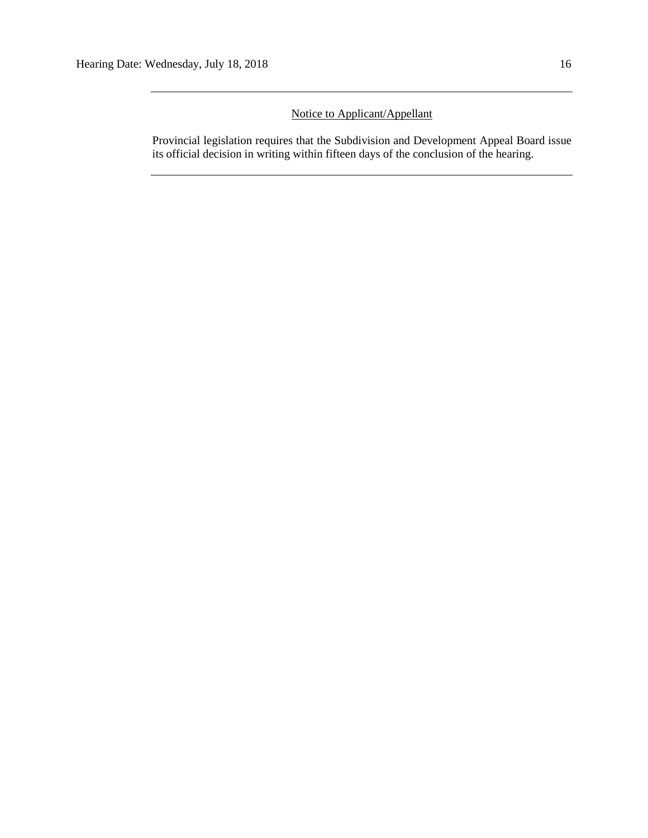# Notice to Applicant/Appellant

Provincial legislation requires that the Subdivision and Development Appeal Board issue its official decision in writing within fifteen days of the conclusion of the hearing.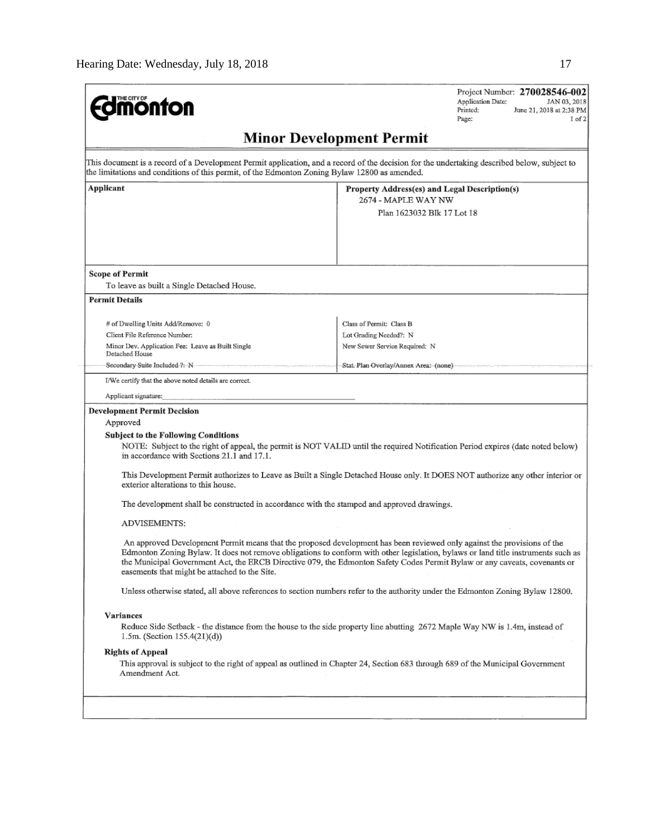| <b><i><u><b>M</b>onton</u></i></b>                                                            | Project Number: 270028546-002<br>Application Date:<br>JAN 03, 2018<br>Printed:<br>June 21, 2018 at 2:38 PM<br>Page:<br>$1$ of $2$                                                                                                                                                                                                                                                         |
|-----------------------------------------------------------------------------------------------|-------------------------------------------------------------------------------------------------------------------------------------------------------------------------------------------------------------------------------------------------------------------------------------------------------------------------------------------------------------------------------------------|
|                                                                                               | <b>Minor Development Permit</b>                                                                                                                                                                                                                                                                                                                                                           |
| the limitations and conditions of this permit, of the Edmonton Zoning Bylaw 12800 as amended. | This document is a record of a Development Permit application, and a record of the decision for the undertaking described below, subject to                                                                                                                                                                                                                                               |
| Applicant                                                                                     | Property Address(es) and Legal Description(s)<br>2674 - MAPLE WAY NW                                                                                                                                                                                                                                                                                                                      |
|                                                                                               | Plan 1623032 Blk 17 Lot 18                                                                                                                                                                                                                                                                                                                                                                |
|                                                                                               |                                                                                                                                                                                                                                                                                                                                                                                           |
| <b>Scope of Permit</b>                                                                        |                                                                                                                                                                                                                                                                                                                                                                                           |
| To leave as built a Single Detached House.                                                    |                                                                                                                                                                                                                                                                                                                                                                                           |
| <b>Permit Details</b>                                                                         |                                                                                                                                                                                                                                                                                                                                                                                           |
| # of Dwelling Units Add/Remove: 0                                                             | Class of Permit: Class B                                                                                                                                                                                                                                                                                                                                                                  |
| Client File Reference Number:                                                                 | Lot Grading Needed?: N                                                                                                                                                                                                                                                                                                                                                                    |
| Minor Dev. Application Fee: Leave as Built Single<br>Detached House                           | New Sewer Service Required: N                                                                                                                                                                                                                                                                                                                                                             |
| Secondary Suite Included ?: N                                                                 | Stat. Plan Overlay/Annex Area: (none)                                                                                                                                                                                                                                                                                                                                                     |
| I/We certify that the above noted details are correct.                                        |                                                                                                                                                                                                                                                                                                                                                                                           |
| Applicant signature:                                                                          |                                                                                                                                                                                                                                                                                                                                                                                           |
| <b>Development Permit Decision</b>                                                            |                                                                                                                                                                                                                                                                                                                                                                                           |
| Approved                                                                                      |                                                                                                                                                                                                                                                                                                                                                                                           |
| Subject to the Following Conditions<br>in accordance with Sections 21.1 and 17.1.             | NOTE: Subject to the right of appeal, the permit is NOT VALID until the required Notification Period expires (date noted below)                                                                                                                                                                                                                                                           |
| exterior alterations to this house.                                                           | This Development Permit authorizes to Leave as Built a Single Detached House only. It DOES NOT authorize any other interior or                                                                                                                                                                                                                                                            |
| The development shall be constructed in accordance with the stamped and approved drawings.    |                                                                                                                                                                                                                                                                                                                                                                                           |
| ADVISEMENTS:                                                                                  |                                                                                                                                                                                                                                                                                                                                                                                           |
| easements that might be attached to the Site.                                                 | An approved Development Permit means that the proposed development has been reviewed only against the provisions of the<br>Edmonton Zoning Bylaw. It does not remove obligations to conform with other legislation, bylaws or land title instruments such as<br>the Municipal Government Act, the ERCB Directive 079, the Edmonton Safety Codes Permit Bylaw or any caveats, covenants or |
|                                                                                               | Unless otherwise stated, all above references to section numbers refer to the authority under the Edmonton Zoning Bylaw 12800.                                                                                                                                                                                                                                                            |
| <b>Variances</b>                                                                              |                                                                                                                                                                                                                                                                                                                                                                                           |
| 1.5m. (Section $155.4(21)(d)$ )                                                               | Reduce Side Setback - the distance from the house to the side property line abutting 2672 Maple Way NW is 1.4m, instead of                                                                                                                                                                                                                                                                |
| <b>Rights of Appeal</b>                                                                       |                                                                                                                                                                                                                                                                                                                                                                                           |
|                                                                                               | This approval is subject to the right of appeal as outlined in Chapter 24, Section 683 through 689 of the Municipal Government                                                                                                                                                                                                                                                            |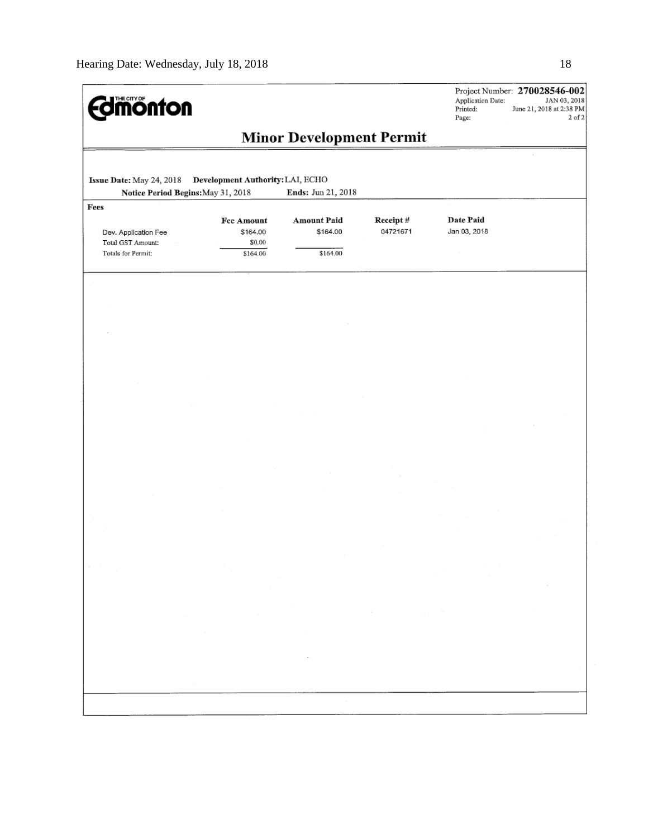| <b><i><u><u>monton</u></u></i></b>                              |                                                                                                                                                                                                                                     |                                            |                                                                                                                                                                                | Application Date:<br>Printed:<br>Page:                                                                                                                                          | Project Number: 270028546-002<br>JAN 03, 2018<br>June 21, 2018 at 2:38 PM<br>$2$ of $2$ |
|-----------------------------------------------------------------|-------------------------------------------------------------------------------------------------------------------------------------------------------------------------------------------------------------------------------------|--------------------------------------------|--------------------------------------------------------------------------------------------------------------------------------------------------------------------------------|---------------------------------------------------------------------------------------------------------------------------------------------------------------------------------|-----------------------------------------------------------------------------------------|
|                                                                 |                                                                                                                                                                                                                                     | <b>Minor Development Permit</b>            |                                                                                                                                                                                |                                                                                                                                                                                 |                                                                                         |
| Issue Date: May 24, 2018                                        | Development Authority: LAI, ECHO                                                                                                                                                                                                    |                                            |                                                                                                                                                                                |                                                                                                                                                                                 |                                                                                         |
| Notice Period Begins: May 31, 2018<br>Fees                      |                                                                                                                                                                                                                                     | Ends: Jun 21, 2018                         |                                                                                                                                                                                |                                                                                                                                                                                 |                                                                                         |
| Dev. Application Fee<br>Total GST Amount:<br>Totals for Permit: | Fee Amount<br>\$164.00<br>\$0.00<br>\$164.00                                                                                                                                                                                        | <b>Amount Paid</b><br>\$164.00<br>\$164.00 | Receipt#<br>04721671                                                                                                                                                           | Date Paid<br>Jan 03, 2018                                                                                                                                                       |                                                                                         |
|                                                                 |                                                                                                                                                                                                                                     |                                            |                                                                                                                                                                                |                                                                                                                                                                                 |                                                                                         |
|                                                                 |                                                                                                                                                                                                                                     |                                            |                                                                                                                                                                                |                                                                                                                                                                                 |                                                                                         |
|                                                                 |                                                                                                                                                                                                                                     |                                            |                                                                                                                                                                                |                                                                                                                                                                                 |                                                                                         |
|                                                                 |                                                                                                                                                                                                                                     |                                            |                                                                                                                                                                                |                                                                                                                                                                                 |                                                                                         |
|                                                                 |                                                                                                                                                                                                                                     |                                            |                                                                                                                                                                                |                                                                                                                                                                                 |                                                                                         |
|                                                                 |                                                                                                                                                                                                                                     |                                            |                                                                                                                                                                                |                                                                                                                                                                                 |                                                                                         |
|                                                                 |                                                                                                                                                                                                                                     |                                            |                                                                                                                                                                                |                                                                                                                                                                                 |                                                                                         |
|                                                                 |                                                                                                                                                                                                                                     |                                            |                                                                                                                                                                                |                                                                                                                                                                                 |                                                                                         |
|                                                                 |                                                                                                                                                                                                                                     |                                            |                                                                                                                                                                                |                                                                                                                                                                                 |                                                                                         |
|                                                                 |                                                                                                                                                                                                                                     |                                            |                                                                                                                                                                                |                                                                                                                                                                                 |                                                                                         |
|                                                                 |                                                                                                                                                                                                                                     |                                            |                                                                                                                                                                                |                                                                                                                                                                                 |                                                                                         |
|                                                                 |                                                                                                                                                                                                                                     |                                            |                                                                                                                                                                                |                                                                                                                                                                                 |                                                                                         |
|                                                                 |                                                                                                                                                                                                                                     |                                            |                                                                                                                                                                                |                                                                                                                                                                                 |                                                                                         |
|                                                                 |                                                                                                                                                                                                                                     |                                            |                                                                                                                                                                                |                                                                                                                                                                                 |                                                                                         |
|                                                                 | $\sim$<br>$\alpha=0.01$<br>$\mathcal{L}^{\mathcal{L}}(\mathcal{L}^{\mathcal{L}})$ .                                                                                                                                                 |                                            |                                                                                                                                                                                | $\label{eq:2.1} \mathcal{L}^{\mathcal{A}}_{\mathcal{A}}(\mathcal{A})=\mathcal{L}^{\mathcal{A}}_{\mathcal{A}}(\mathcal{A})=\mathcal{L}^{\mathcal{A}}_{\mathcal{A}}(\mathcal{A})$ | $\sim$ $\sim$                                                                           |
|                                                                 |                                                                                                                                                                                                                                     |                                            |                                                                                                                                                                                |                                                                                                                                                                                 |                                                                                         |
|                                                                 | $\label{eq:2.1} \frac{1}{\sqrt{2}}\int_{\mathbb{R}^3}\frac{1}{\sqrt{2}}\left(\frac{1}{\sqrt{2}}\right)^2\frac{1}{\sqrt{2}}\left(\frac{1}{\sqrt{2}}\right)^2\frac{1}{\sqrt{2}}\left(\frac{1}{\sqrt{2}}\right)^2.$<br>$\sim 10^{-10}$ | and the state of                           | $\mathcal{L}(\mathcal{L}(\mathcal{L}))$ and $\mathcal{L}(\mathcal{L}(\mathcal{L}))$ and $\mathcal{L}(\mathcal{L}(\mathcal{L}))$ . Then $\mathcal{L}(\mathcal{L}(\mathcal{L}))$ |                                                                                                                                                                                 |                                                                                         |
|                                                                 | $\mathcal{L}(\mathcal{L})$ and $\mathcal{L}(\mathcal{L})$ . The set of $\mathcal{L}(\mathcal{L})$                                                                                                                                   |                                            |                                                                                                                                                                                |                                                                                                                                                                                 |                                                                                         |
|                                                                 |                                                                                                                                                                                                                                     | and the state of the state                 |                                                                                                                                                                                |                                                                                                                                                                                 |                                                                                         |
|                                                                 |                                                                                                                                                                                                                                     |                                            |                                                                                                                                                                                |                                                                                                                                                                                 |                                                                                         |
|                                                                 |                                                                                                                                                                                                                                     | $\sim 10^{11}$                             |                                                                                                                                                                                |                                                                                                                                                                                 |                                                                                         |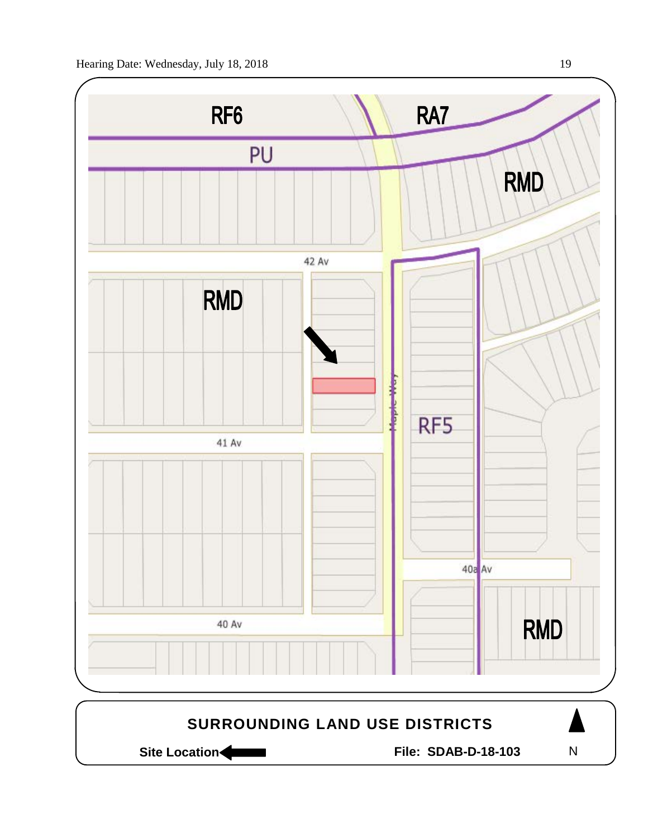

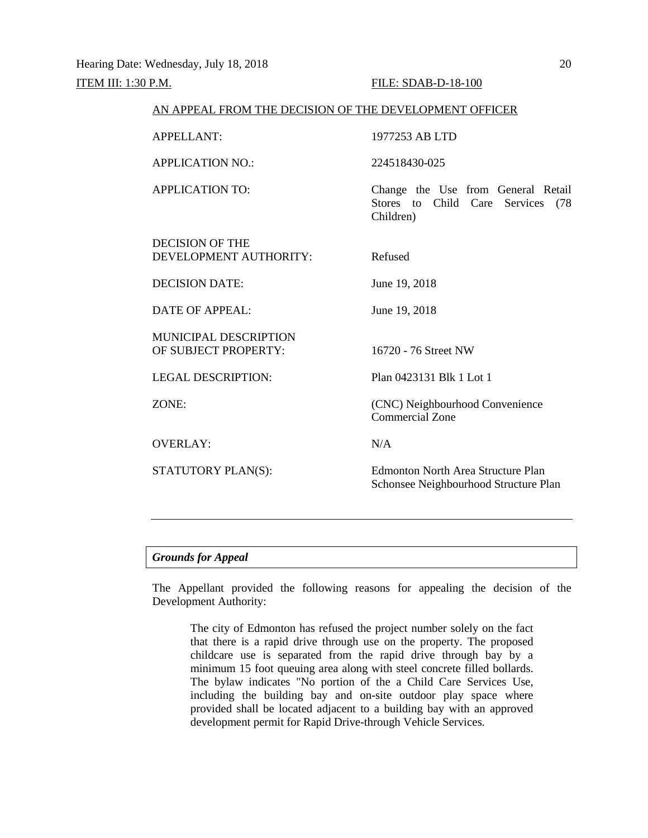| AN APPEAL FROM THE DECISION OF THE DEVELOPMENT OFFICER |                                                                                             |  |  |  |
|--------------------------------------------------------|---------------------------------------------------------------------------------------------|--|--|--|
| <b>APPELLANT:</b>                                      | 1977253 AB LTD                                                                              |  |  |  |
| <b>APPLICATION NO.:</b>                                | 224518430-025                                                                               |  |  |  |
| <b>APPLICATION TO:</b>                                 | Change the Use from General Retail<br>Stores to Child Care<br>Services<br>(78)<br>Children) |  |  |  |
| <b>DECISION OF THE</b><br>DEVELOPMENT AUTHORITY:       | Refused                                                                                     |  |  |  |
| <b>DECISION DATE:</b>                                  | June 19, 2018                                                                               |  |  |  |
| <b>DATE OF APPEAL:</b>                                 | June 19, 2018                                                                               |  |  |  |
| <b>MUNICIPAL DESCRIPTION</b><br>OF SUBJECT PROPERTY:   | 16720 - 76 Street NW                                                                        |  |  |  |
| <b>LEGAL DESCRIPTION:</b>                              | Plan 0423131 Blk 1 Lot 1                                                                    |  |  |  |
| ZONE:                                                  | (CNC) Neighbourhood Convenience<br><b>Commercial Zone</b>                                   |  |  |  |
| <b>OVERLAY:</b>                                        | N/A                                                                                         |  |  |  |
| STATUTORY PLAN(S):                                     | <b>Edmonton North Area Structure Plan</b><br>Schonsee Neighbourhood Structure Plan          |  |  |  |
|                                                        |                                                                                             |  |  |  |

### *Grounds for Appeal*

The Appellant provided the following reasons for appealing the decision of the Development Authority:

The city of Edmonton has refused the project number solely on the fact that there is a rapid drive through use on the property. The proposed childcare use is separated from the rapid drive through bay by a minimum 15 foot queuing area along with steel concrete filled bollards. The bylaw indicates "No portion of the a Child Care Services Use, including the building bay and on-site outdoor play space where provided shall be located adjacent to a building bay with an approved development permit for Rapid Drive-through Vehicle Services.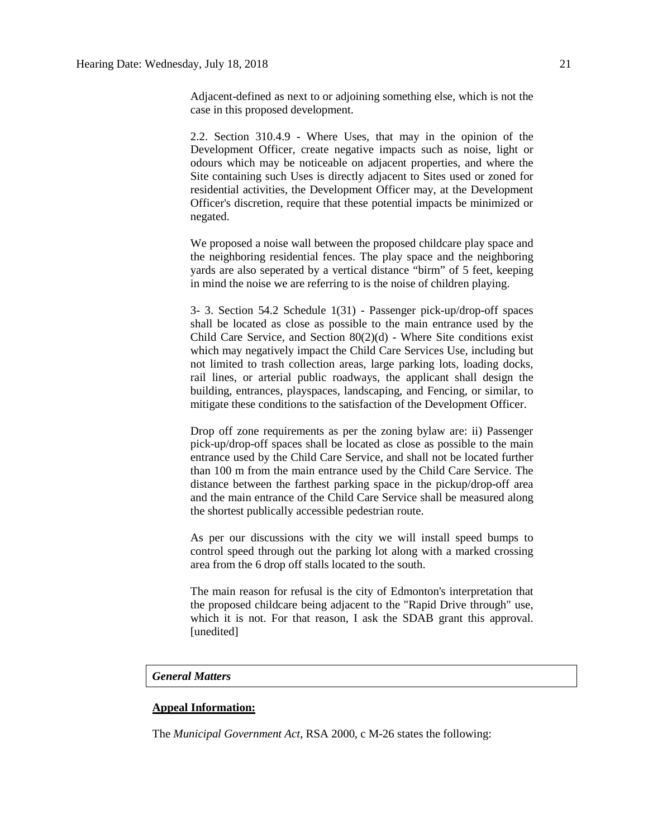Adjacent-defined as next to or adjoining something else, which is not the case in this proposed development.

2.2. Section 310.4.9 - Where Uses, that may in the opinion of the Development Officer, create negative impacts such as noise, light or odours which may be noticeable on adjacent properties, and where the Site containing such Uses is directly adjacent to Sites used or zoned for residential activities, the Development Officer may, at the Development Officer's discretion, require that these potential impacts be minimized or negated.

We proposed a noise wall between the proposed childcare play space and the neighboring residential fences. The play space and the neighboring yards are also seperated by a vertical distance "birm" of 5 feet, keeping in mind the noise we are referring to is the noise of children playing.

3- 3. Section 54.2 Schedule 1(31) - Passenger pick-up/drop-off spaces shall be located as close as possible to the main entrance used by the Child Care Service, and Section  $80(2)(d)$  - Where Site conditions exist which may negatively impact the Child Care Services Use, including but not limited to trash collection areas, large parking lots, loading docks, rail lines, or arterial public roadways, the applicant shall design the building, entrances, playspaces, landscaping, and Fencing, or similar, to mitigate these conditions to the satisfaction of the Development Officer.

Drop off zone requirements as per the zoning bylaw are: ii) Passenger pick-up/drop-off spaces shall be located as close as possible to the main entrance used by the Child Care Service, and shall not be located further than 100 m from the main entrance used by the Child Care Service. The distance between the farthest parking space in the pickup/drop-off area and the main entrance of the Child Care Service shall be measured along the shortest publically accessible pedestrian route.

As per our discussions with the city we will install speed bumps to control speed through out the parking lot along with a marked crossing area from the 6 drop off stalls located to the south.

The main reason for refusal is the city of Edmonton's interpretation that the proposed childcare being adjacent to the "Rapid Drive through" use, which it is not. For that reason, I ask the SDAB grant this approval. [unedited]

### *General Matters*

## **Appeal Information:**

The *Municipal Government Act*, RSA 2000, c M-26 states the following: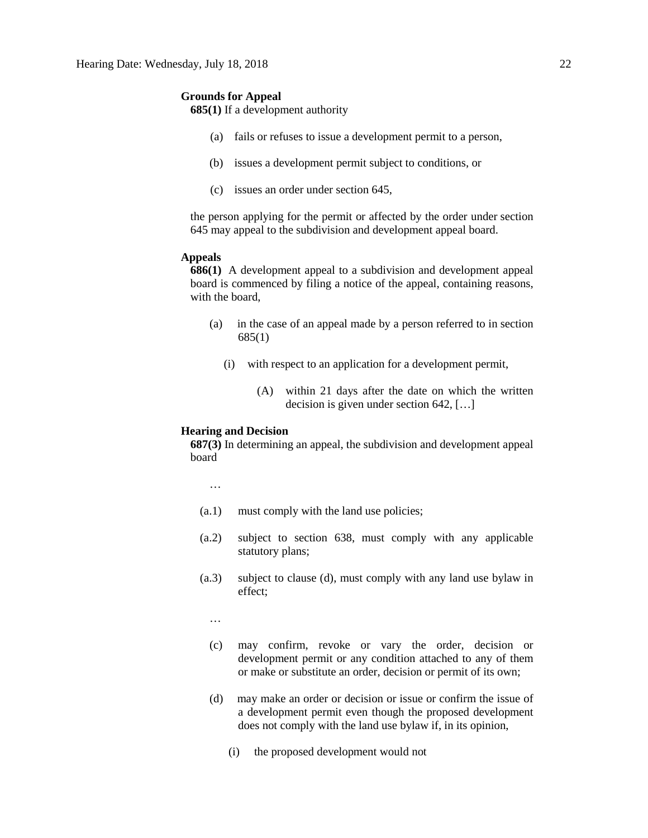#### **Grounds for Appeal**

**685(1)** If a development authority

- (a) fails or refuses to issue a development permit to a person,
- (b) issues a development permit subject to conditions, or
- (c) issues an order under section 645,

the person applying for the permit or affected by the order under section 645 may appeal to the subdivision and development appeal board.

#### **Appeals**

**686(1)** A development appeal to a subdivision and development appeal board is commenced by filing a notice of the appeal, containing reasons, with the board,

- (a) in the case of an appeal made by a person referred to in section 685(1)
	- (i) with respect to an application for a development permit,
		- (A) within 21 days after the date on which the written decision is given under section 642, […]

## **Hearing and Decision**

**687(3)** In determining an appeal, the subdivision and development appeal board

…

- (a.1) must comply with the land use policies;
- (a.2) subject to section 638, must comply with any applicable statutory plans;
- (a.3) subject to clause (d), must comply with any land use bylaw in effect;

…

- (c) may confirm, revoke or vary the order, decision or development permit or any condition attached to any of them or make or substitute an order, decision or permit of its own;
- (d) may make an order or decision or issue or confirm the issue of a development permit even though the proposed development does not comply with the land use bylaw if, in its opinion,
	- (i) the proposed development would not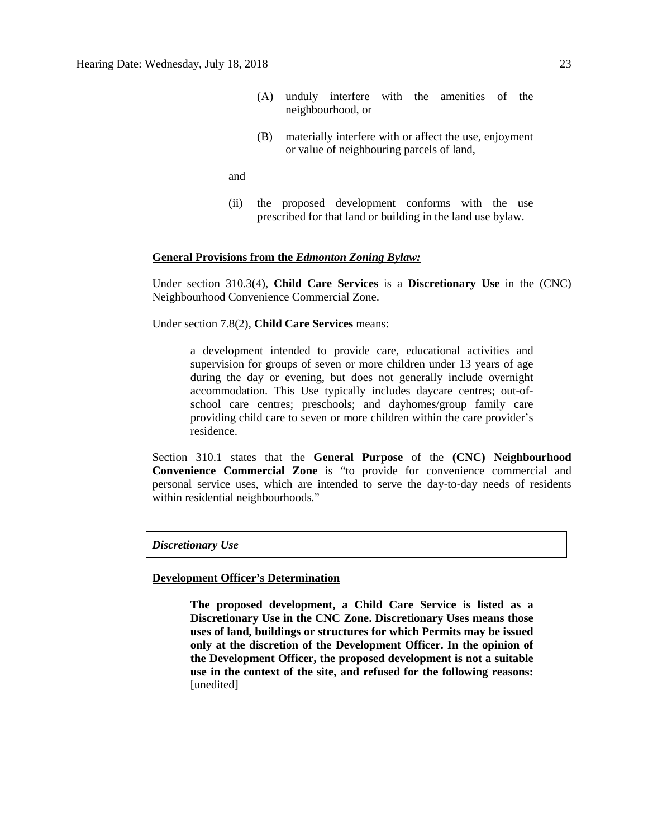- (A) unduly interfere with the amenities of the neighbourhood, or
- (B) materially interfere with or affect the use, enjoyment or value of neighbouring parcels of land,

and

(ii) the proposed development conforms with the use prescribed for that land or building in the land use bylaw.

#### **General Provisions from the** *Edmonton Zoning Bylaw:*

Under section 310.3(4), **Child Care Services** is a **Discretionary Use** in the (CNC) Neighbourhood Convenience Commercial Zone.

Under section 7.8(2), **Child Care Services** means:

a development intended to provide care, educational activities and supervision for groups of seven or more children under 13 years of age during the day or evening, but does not generally include overnight accommodation. This Use typically includes daycare centres; out-ofschool care centres; preschools; and dayhomes/group family care providing child care to seven or more children within the care provider's residence.

Section 310.1 states that the **General Purpose** of the **(CNC) Neighbourhood Convenience Commercial Zone** is "to provide for convenience commercial and personal service uses, which are intended to serve the day-to-day needs of residents within residential neighbourhoods."

*Discretionary Use*

#### **Development Officer's Determination**

**The proposed development, a Child Care Service is listed as a Discretionary Use in the CNC Zone. Discretionary Uses means those uses of land, buildings or structures for which Permits may be issued only at the discretion of the Development Officer. In the opinion of the Development Officer, the proposed development is not a suitable use in the context of the site, and refused for the following reasons:**  [unedited]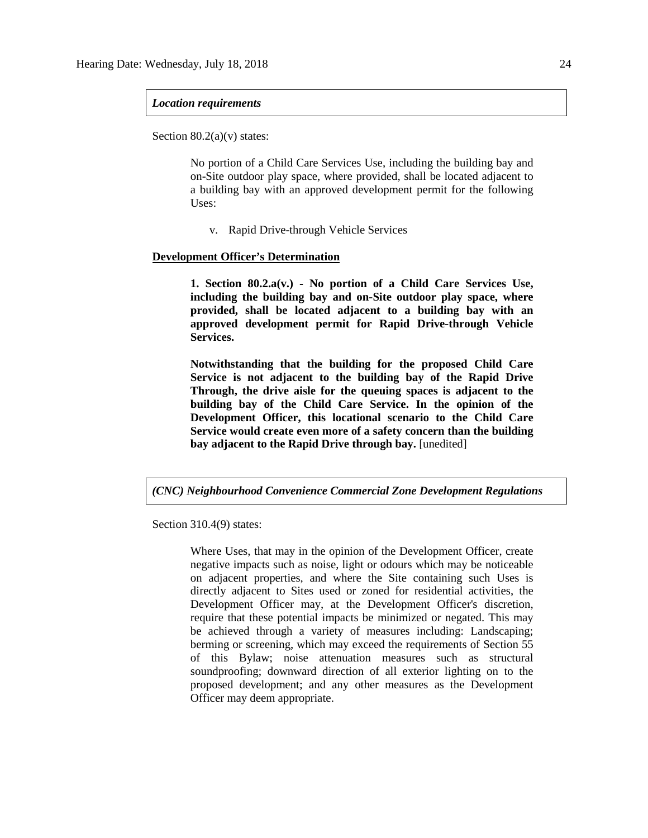#### *Location requirements*

Section  $80.2(a)(v)$  states:

No portion of a Child Care Services Use, including the building bay and on-Site outdoor play space, where provided, shall be located adjacent to a building bay with an approved development permit for the following Uses:

v. Rapid Drive-through Vehicle Services

#### **Development Officer's Determination**

**1. Section 80.2.a(v.) - No portion of a Child Care Services Use, including the building bay and on-Site outdoor play space, where provided, shall be located adjacent to a building bay with an approved development permit for Rapid Drive-through Vehicle Services.**

**Notwithstanding that the building for the proposed Child Care Service is not adjacent to the building bay of the Rapid Drive Through, the drive aisle for the queuing spaces is adjacent to the building bay of the Child Care Service. In the opinion of the Development Officer, this locational scenario to the Child Care Service would create even more of a safety concern than the building bay adjacent to the Rapid Drive through bay.** [unedited]

*(CNC) Neighbourhood Convenience Commercial Zone Development Regulations*

Section 310.4(9) states:

Where Uses, that may in the opinion of the Development Officer, create negative impacts such as noise, light or odours which may be noticeable on adjacent properties, and where the Site containing such Uses is directly adjacent to Sites used or zoned for residential activities, the Development Officer may, at the Development Officer's discretion, require that these potential impacts be minimized or negated. This may be achieved through a variety of measures including: Landscaping; berming or screening, which may exceed the requirements of Section 55 of this Bylaw; noise attenuation measures such as structural soundproofing; downward direction of all exterior lighting on to the proposed development; and any other measures as the Development Officer may deem appropriate.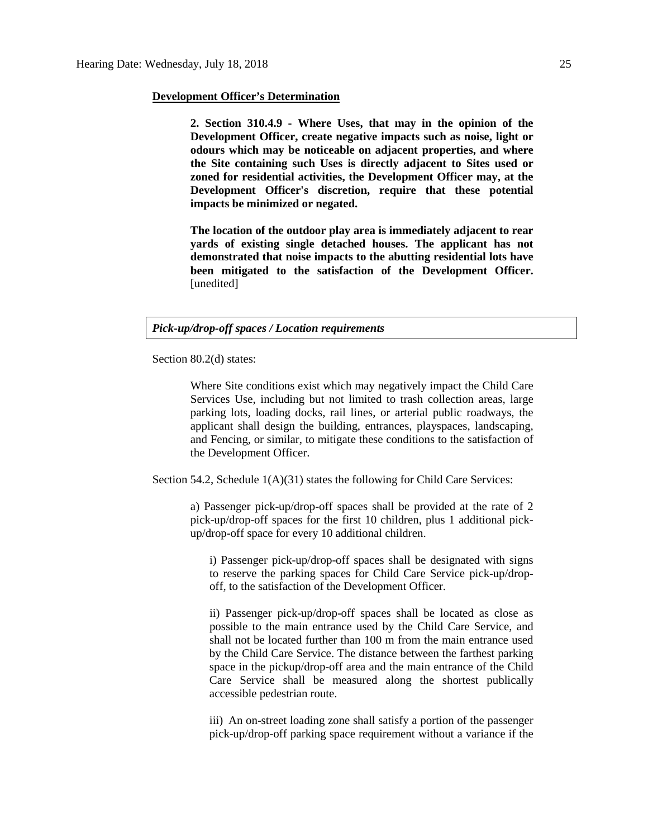#### **Development Officer's Determination**

**2. Section 310.4.9 - Where Uses, that may in the opinion of the Development Officer, create negative impacts such as noise, light or odours which may be noticeable on adjacent properties, and where the Site containing such Uses is directly adjacent to Sites used or zoned for residential activities, the Development Officer may, at the Development Officer's discretion, require that these potential impacts be minimized or negated.**

**The location of the outdoor play area is immediately adjacent to rear yards of existing single detached houses. The applicant has not demonstrated that noise impacts to the abutting residential lots have been mitigated to the satisfaction of the Development Officer.** [unedited]

## *Pick-up/drop-off spaces / Location requirements*

Section 80.2(d) states:

Where Site conditions exist which may negatively impact the Child Care Services Use, including but not limited to trash collection areas, large parking lots, loading docks, rail lines, or arterial public roadways, the applicant shall design the building, entrances, playspaces, landscaping, and Fencing, or similar, to mitigate these conditions to the satisfaction of the Development Officer.

Section 54.2, Schedule 1(A)(31) states the following for Child Care Services:

a) Passenger pick-up/drop-off spaces shall be provided at the rate of 2 pick-up/drop-off spaces for the first 10 children, plus 1 additional pickup/drop-off space for every 10 additional children.

i) Passenger pick-up/drop-off spaces shall be designated with signs to reserve the parking spaces for Child Care Service pick-up/dropoff, to the satisfaction of the Development Officer.

ii) Passenger pick-up/drop-off spaces shall be located as close as possible to the main entrance used by the Child Care Service, and shall not be located further than 100 m from the main entrance used by the Child Care Service. The distance between the farthest parking space in the pickup/drop-off area and the main entrance of the Child Care Service shall be measured along the shortest publically accessible pedestrian route.

iii) An on-street loading zone shall satisfy a portion of the passenger pick-up/drop-off parking space requirement without a variance if the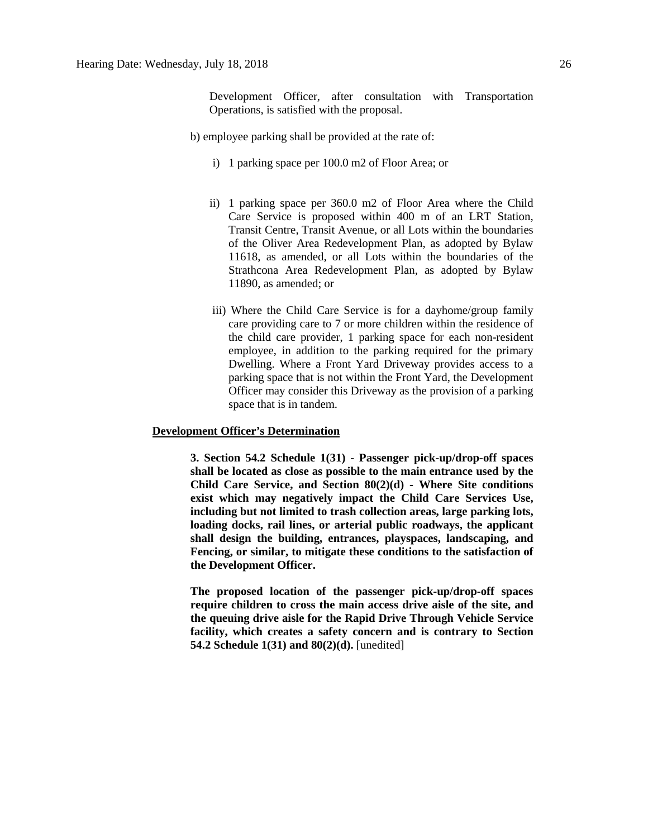Development Officer, after consultation with Transportation Operations, is satisfied with the proposal.

- b) employee parking shall be provided at the rate of:
	- i) 1 parking space per 100.0 m2 of Floor Area; or
	- ii) 1 parking space per 360.0 m2 of Floor Area where the Child Care Service is proposed within 400 m of an LRT Station, Transit Centre, Transit Avenue, or all Lots within the boundaries of the Oliver Area Redevelopment Plan, as adopted by Bylaw 11618, as amended, or all Lots within the boundaries of the Strathcona Area Redevelopment Plan, as adopted by Bylaw 11890, as amended; or
	- iii) Where the Child Care Service is for a dayhome/group family care providing care to 7 or more children within the residence of the child care provider, 1 parking space for each non-resident employee, in addition to the parking required for the primary Dwelling. Where a Front Yard Driveway provides access to a parking space that is not within the Front Yard, the Development Officer may consider this Driveway as the provision of a parking space that is in tandem.

# **Development Officer's Determination**

**3. Section 54.2 Schedule 1(31) - Passenger pick-up/drop-off spaces shall be located as close as possible to the main entrance used by the Child Care Service, and Section 80(2)(d) - Where Site conditions exist which may negatively impact the Child Care Services Use, including but not limited to trash collection areas, large parking lots, loading docks, rail lines, or arterial public roadways, the applicant shall design the building, entrances, playspaces, landscaping, and Fencing, or similar, to mitigate these conditions to the satisfaction of the Development Officer.**

**The proposed location of the passenger pick-up/drop-off spaces require children to cross the main access drive aisle of the site, and the queuing drive aisle for the Rapid Drive Through Vehicle Service facility, which creates a safety concern and is contrary to Section 54.2 Schedule 1(31) and 80(2)(d).** [unedited]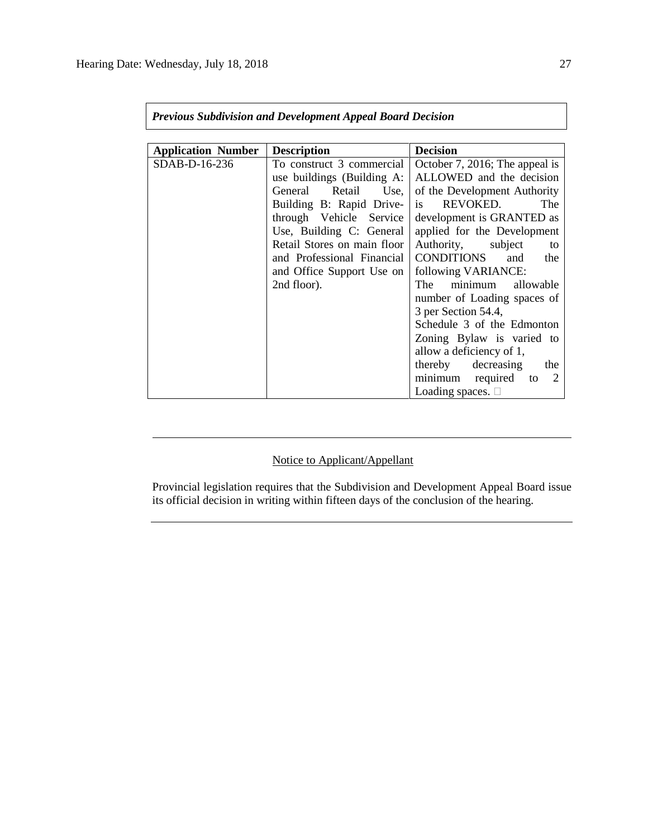$\mathbf{r}$ 

| <b>Previous Subdivision and Development Appeal Board Decision</b> |                                                                                                                                                                                                                                                                                  |                                                                                                                                                                                                                                                                                                                                                                                                                                                                                                                                |  |  |  |
|-------------------------------------------------------------------|----------------------------------------------------------------------------------------------------------------------------------------------------------------------------------------------------------------------------------------------------------------------------------|--------------------------------------------------------------------------------------------------------------------------------------------------------------------------------------------------------------------------------------------------------------------------------------------------------------------------------------------------------------------------------------------------------------------------------------------------------------------------------------------------------------------------------|--|--|--|
| <b>Application Number</b>                                         | <b>Description</b>                                                                                                                                                                                                                                                               | <b>Decision</b>                                                                                                                                                                                                                                                                                                                                                                                                                                                                                                                |  |  |  |
| $SDAB-D-16-236$                                                   | To construct 3 commercial<br>use buildings (Building A:<br>General<br>Retail<br>Use,<br>Building B: Rapid Drive-<br>through Vehicle Service<br>Use, Building C: General<br>Retail Stores on main floor<br>and Professional Financial<br>and Office Support Use on<br>2nd floor). | October 7, 2016; The appeal is<br>ALLOWED and the decision<br>of the Development Authority<br>REVOKED.<br>The<br>is.<br>development is GRANTED as<br>applied for the Development<br>Authority, subject<br>to<br>CONDITIONS<br>and<br>the<br>following VARIANCE:<br>minimum<br>The<br>allowable<br>number of Loading spaces of<br>3 per Section 54.4,<br>Schedule 3 of the Edmonton<br>Zoning Bylaw is varied to<br>allow a deficiency of 1,<br>thereby decreasing the<br>minimum required<br>2<br>to<br>Loading spaces. $\Box$ |  |  |  |

# Notice to Applicant/Appellant

Provincial legislation requires that the Subdivision and Development Appeal Board issue its official decision in writing within fifteen days of the conclusion of the hearing.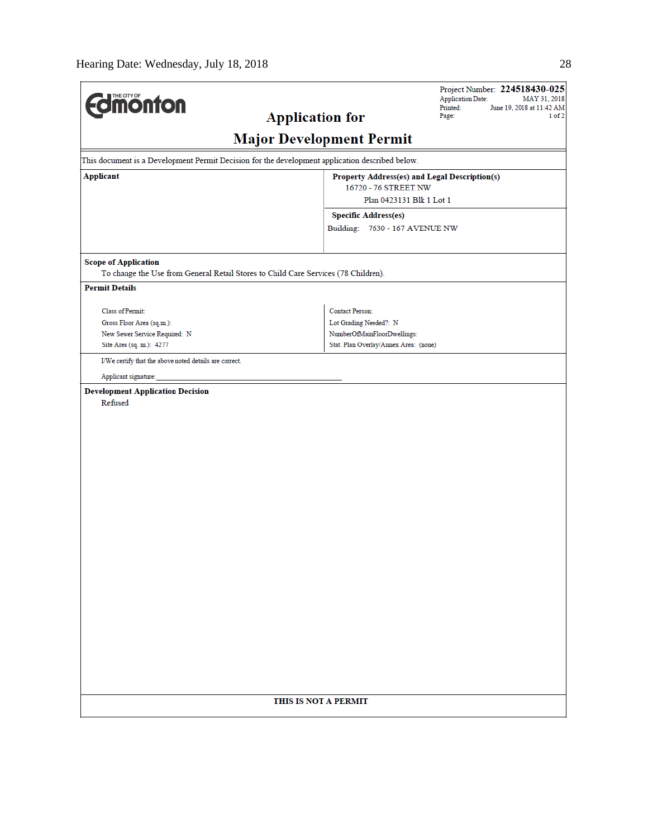| <b>difficultion</b>                                                                             |                                                  | Project Number: 224518430-025<br><b>Application Date:</b><br>MAY 31, 2018 |
|-------------------------------------------------------------------------------------------------|--------------------------------------------------|---------------------------------------------------------------------------|
| <b>Application for</b>                                                                          |                                                  | Printed:<br>June 19, 2018 at 11:42 AM<br>1 of 2<br>Page:                  |
|                                                                                                 | <b>Major Development Permit</b>                  |                                                                           |
| This document is a Development Permit Decision for the development application described below. |                                                  |                                                                           |
| <b>Applicant</b>                                                                                | Property Address(es) and Legal Description(s)    |                                                                           |
|                                                                                                 | 16720 - 76 STREET NW<br>Plan 0423131 Blk 1 Lot 1 |                                                                           |
|                                                                                                 | <b>Specific Address(es)</b>                      |                                                                           |
|                                                                                                 | Building: 7630 - 167 AVENUE NW                   |                                                                           |
|                                                                                                 |                                                  |                                                                           |
| <b>Scope of Application</b>                                                                     |                                                  |                                                                           |
| To change the Use from General Retail Stores to Child Care Services (78 Children).              |                                                  |                                                                           |
| <b>Permit Details</b>                                                                           |                                                  |                                                                           |
| Class of Permit:                                                                                | Contact Person:                                  |                                                                           |
| Gross Floor Area (sq.m.):                                                                       | Lot Grading Needed?: N                           |                                                                           |
| New Sewer Service Required: N                                                                   | NumberOfMainFloorDwellings:                      |                                                                           |
| Site Area (sq. m.): 4277                                                                        | Stat. Plan Overlay/Annex Area: (none)            |                                                                           |
| I/We certify that the above noted details are correct.                                          |                                                  |                                                                           |
| Applicant signature:                                                                            |                                                  |                                                                           |
| <b>Development Application Decision</b>                                                         |                                                  |                                                                           |
| Refused                                                                                         |                                                  |                                                                           |
|                                                                                                 |                                                  |                                                                           |
|                                                                                                 |                                                  |                                                                           |
|                                                                                                 |                                                  |                                                                           |
|                                                                                                 |                                                  |                                                                           |
|                                                                                                 |                                                  |                                                                           |
|                                                                                                 |                                                  |                                                                           |
|                                                                                                 |                                                  |                                                                           |
|                                                                                                 |                                                  |                                                                           |
|                                                                                                 |                                                  |                                                                           |
|                                                                                                 |                                                  |                                                                           |
|                                                                                                 |                                                  |                                                                           |
|                                                                                                 |                                                  |                                                                           |
|                                                                                                 |                                                  |                                                                           |
|                                                                                                 |                                                  |                                                                           |
|                                                                                                 |                                                  |                                                                           |
|                                                                                                 |                                                  |                                                                           |
|                                                                                                 |                                                  |                                                                           |
|                                                                                                 |                                                  |                                                                           |
|                                                                                                 |                                                  |                                                                           |
|                                                                                                 |                                                  |                                                                           |
|                                                                                                 |                                                  |                                                                           |
|                                                                                                 | THIS IS NOT A PERMIT                             |                                                                           |
|                                                                                                 |                                                  |                                                                           |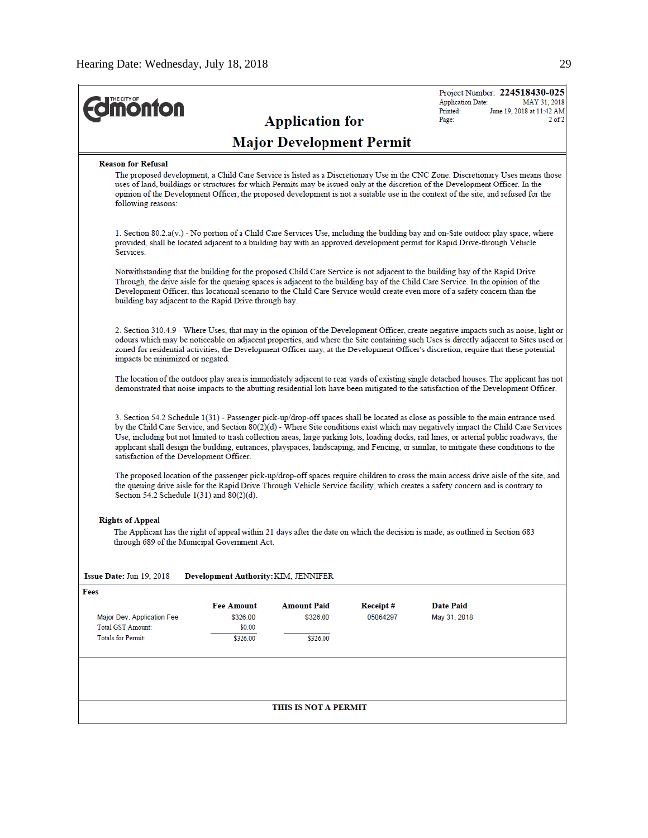|                                                                         |                                                                                                                                                                                                                                                                               |                                 |          | Project Number: 224518430-025<br><b>Application Date:</b>                                                                                                                                                                                                                                                                                                                                                                                                                                                                                                     | MAY 31, 2018                            |  |  |
|-------------------------------------------------------------------------|-------------------------------------------------------------------------------------------------------------------------------------------------------------------------------------------------------------------------------------------------------------------------------|---------------------------------|----------|---------------------------------------------------------------------------------------------------------------------------------------------------------------------------------------------------------------------------------------------------------------------------------------------------------------------------------------------------------------------------------------------------------------------------------------------------------------------------------------------------------------------------------------------------------------|-----------------------------------------|--|--|
| <b>monton</b>                                                           |                                                                                                                                                                                                                                                                               | <b>Application for</b>          |          | Printed:<br>Page:                                                                                                                                                                                                                                                                                                                                                                                                                                                                                                                                             | June 19, 2018 at 11:42 AM<br>$2$ of $2$ |  |  |
|                                                                         |                                                                                                                                                                                                                                                                               | <b>Major Development Permit</b> |          |                                                                                                                                                                                                                                                                                                                                                                                                                                                                                                                                                               |                                         |  |  |
| <b>Reason for Refusal</b>                                               |                                                                                                                                                                                                                                                                               |                                 |          |                                                                                                                                                                                                                                                                                                                                                                                                                                                                                                                                                               |                                         |  |  |
| following reasons:                                                      |                                                                                                                                                                                                                                                                               |                                 |          | The proposed development, a Child Care Service is listed as a Discretionary Use in the CNC Zone. Discretionary Uses means those<br>uses of land, buildings or structures for which Permits may be issued only at the discretion of the Development Officer. In the<br>opinion of the Development Officer, the proposed development is not a suitable use in the context of the site, and refused for the                                                                                                                                                      |                                         |  |  |
| Services.                                                               |                                                                                                                                                                                                                                                                               |                                 |          | 1. Section 80.2.a(v.) - No portion of a Child Care Services Use, including the building bay and on-Site outdoor play space, where<br>provided, shall be located adjacent to a building bay with an approved development permit for Rapid Drive-through Vehicle                                                                                                                                                                                                                                                                                                |                                         |  |  |
| building bay adjacent to the Rapid Drive through bay.                   |                                                                                                                                                                                                                                                                               |                                 |          | Notwithstanding that the building for the proposed Child Care Service is not adjacent to the building bay of the Rapid Drive<br>Through, the drive aisle for the queuing spaces is adjacent to the building bay of the Child Care Service. In the opinion of the<br>Development Officer, this locational scenario to the Child Care Service would create even more of a safety concern than the                                                                                                                                                               |                                         |  |  |
| impacts be minimized or negated.                                        |                                                                                                                                                                                                                                                                               |                                 |          | 2. Section 310.4.9 - Where Uses, that may in the opinion of the Development Officer, create negative impacts such as noise, light or<br>odours which may be noticeable on adjacent properties, and where the Site containing such Uses is directly adjacent to Sites used or<br>zoned for residential activities, the Development Officer may, at the Development Officer's discretion, require that these potential                                                                                                                                          |                                         |  |  |
|                                                                         | The location of the outdoor play area is immediately adjacent to rear yards of existing single detached houses. The applicant has not<br>demonstrated that noise impacts to the abutting residential lots have been mitigated to the satisfaction of the Development Officer. |                                 |          |                                                                                                                                                                                                                                                                                                                                                                                                                                                                                                                                                               |                                         |  |  |
| satisfaction of the Development Officer.                                |                                                                                                                                                                                                                                                                               |                                 |          | 3. Section 54.2 Schedule 1(31) - Passenger pick-up/drop-off spaces shall be located as close as possible to the main entrance used<br>by the Child Care Service, and Section 80(2)(d) - Where Site conditions exist which may negatively impact the Child Care Services<br>Use, including but not limited to trash collection areas, large parking lots, loading docks, rail lines, or arterial public roadways, the<br>applicant shall design the building, entrances, playspaces, landscaping, and Fencing, or similar, to mitigate these conditions to the |                                         |  |  |
| Section 54.2 Schedule 1(31) and 80(2)(d).                               |                                                                                                                                                                                                                                                                               |                                 |          | The proposed location of the passenger pick-up/drop-off spaces require children to cross the main access drive aisle of the site, and<br>the queuing drive aisle for the Rapid Drive Through Vehicle Service facility, which creates a safety concern and is contrary to                                                                                                                                                                                                                                                                                      |                                         |  |  |
| <b>Rights of Appeal</b><br>through 689 of the Municipal Government Act. |                                                                                                                                                                                                                                                                               |                                 |          | The Applicant has the right of appeal within 21 days after the date on which the decision is made, as outlined in Section 683                                                                                                                                                                                                                                                                                                                                                                                                                                 |                                         |  |  |
| Issue Date: Jun 19, 2018<br>Fees                                        | Development Authority: KIM, JENNIFER                                                                                                                                                                                                                                          |                                 |          |                                                                                                                                                                                                                                                                                                                                                                                                                                                                                                                                                               |                                         |  |  |
|                                                                         | <b>Fee Amount</b>                                                                                                                                                                                                                                                             | <b>Amount Paid</b>              | Receipt# | <b>Date Paid</b>                                                                                                                                                                                                                                                                                                                                                                                                                                                                                                                                              |                                         |  |  |
| Major Dev. Application Fee                                              | \$326.00                                                                                                                                                                                                                                                                      | \$326.00                        | 05064297 | May 31, 2018                                                                                                                                                                                                                                                                                                                                                                                                                                                                                                                                                  |                                         |  |  |
| <b>Total GST Amount:</b>                                                | \$0.00                                                                                                                                                                                                                                                                        |                                 |          |                                                                                                                                                                                                                                                                                                                                                                                                                                                                                                                                                               |                                         |  |  |
| <b>Totals for Permit:</b>                                               | \$326.00                                                                                                                                                                                                                                                                      | \$326.00                        |          |                                                                                                                                                                                                                                                                                                                                                                                                                                                                                                                                                               |                                         |  |  |
|                                                                         |                                                                                                                                                                                                                                                                               |                                 |          |                                                                                                                                                                                                                                                                                                                                                                                                                                                                                                                                                               |                                         |  |  |
|                                                                         |                                                                                                                                                                                                                                                                               | THIS IS NOT A PERMIT            |          |                                                                                                                                                                                                                                                                                                                                                                                                                                                                                                                                                               |                                         |  |  |
|                                                                         |                                                                                                                                                                                                                                                                               |                                 |          |                                                                                                                                                                                                                                                                                                                                                                                                                                                                                                                                                               |                                         |  |  |